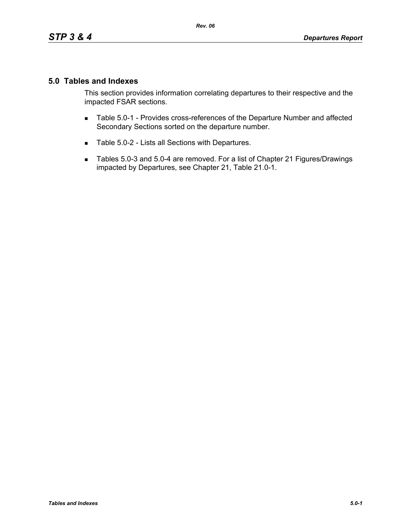## **5.0 Tables and Indexes**

This section provides information correlating departures to their respective and the impacted FSAR sections.

- **Table 5.0-1 Provides cross-references of the Departure Number and affected** Secondary Sections sorted on the departure number.
- Table 5.0-2 Lists all Sections with Departures.
- Tables 5.0-3 and 5.0-4 are removed. For a list of Chapter 21 Figures/Drawings impacted by Departures, see Chapter 21, Table 21.0-1.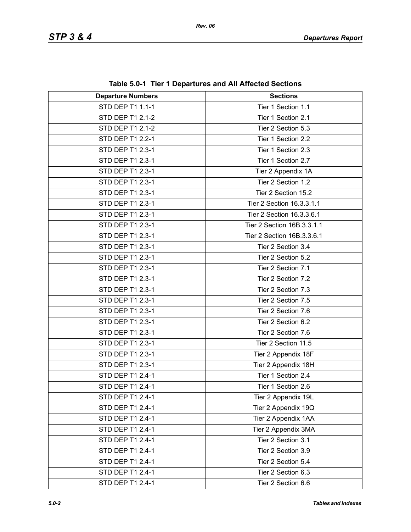| <b>Departure Numbers</b> | <b>Sections</b>            |  |
|--------------------------|----------------------------|--|
| <b>STD DEP T1 1.1-1</b>  | Tier 1 Section 1.1         |  |
| STD DEP T1 2.1-2         | Tier 1 Section 2.1         |  |
| STD DEP T1 2.1-2         | Tier 2 Section 5.3         |  |
| STD DEP T1 2.2-1         | Tier 1 Section 2.2         |  |
| STD DEP T1 2.3-1         | Tier 1 Section 2.3         |  |
| STD DEP T1 2.3-1         | Tier 1 Section 2.7         |  |
| STD DEP T1 2.3-1         | Tier 2 Appendix 1A         |  |
| STD DEP T1 2.3-1         | Tier 2 Section 1.2         |  |
| STD DEP T1 2.3-1         | Tier 2 Section 15.2        |  |
| STD DEP T1 2.3-1         | Tier 2 Section 16.3.3.1.1  |  |
| STD DEP T1 2.3-1         | Tier 2 Section 16.3.3.6.1  |  |
| STD DEP T1 2.3-1         | Tier 2 Section 16B.3.3.1.1 |  |
| STD DEP T1 2.3-1         | Tier 2 Section 16B.3.3.6.1 |  |
| STD DEP T1 2.3-1         | Tier 2 Section 3.4         |  |
| STD DEP T1 2.3-1         | Tier 2 Section 5.2         |  |
| STD DEP T1 2.3-1         | Tier 2 Section 7.1         |  |
| STD DEP T1 2.3-1         | Tier 2 Section 7.2         |  |
| STD DEP T1 2.3-1         | Tier 2 Section 7.3         |  |
| STD DEP T1 2.3-1         | Tier 2 Section 7.5         |  |
| STD DEP T1 2.3-1         | Tier 2 Section 7.6         |  |
| STD DEP T1 2.3-1         | Tier 2 Section 6.2         |  |
| STD DEP T1 2.3-1         | Tier 2 Section 7.6         |  |
| STD DEP T1 2.3-1         | Tier 2 Section 11.5        |  |
| STD DEP T1 2.3-1         | Tier 2 Appendix 18F        |  |
| STD DEP T1 2.3-1         | Tier 2 Appendix 18H        |  |
| STD DEP T1 2.4-1         | Tier 1 Section 2.4         |  |
| STD DEP T1 2.4-1         | Tier 1 Section 2.6         |  |
| STD DEP T1 2.4-1         | Tier 2 Appendix 19L        |  |
| STD DEP T1 2.4-1         | Tier 2 Appendix 19Q        |  |
| STD DEP T1 2.4-1         | Tier 2 Appendix 1AA        |  |
| STD DEP T1 2.4-1         | Tier 2 Appendix 3MA        |  |
| STD DEP T1 2.4-1         | Tier 2 Section 3.1         |  |
| STD DEP T1 2.4-1         | Tier 2 Section 3.9         |  |
| STD DEP T1 2.4-1         | Tier 2 Section 5.4         |  |
| STD DEP T1 2.4-1         | Tier 2 Section 6.3         |  |
| STD DEP T1 2.4-1         | Tier 2 Section 6.6         |  |

**Table 5.0-1 Tier 1 Departures and All Affected Sections**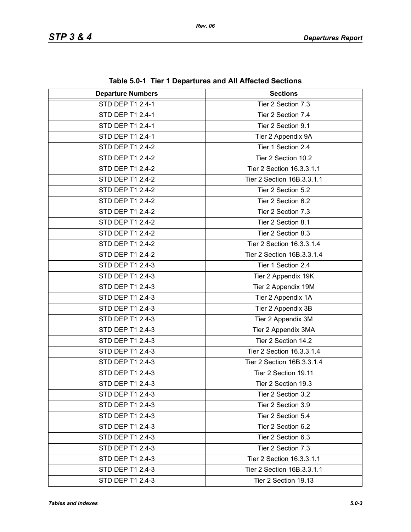| <b>Departure Numbers</b> | <b>Sections</b>            |  |
|--------------------------|----------------------------|--|
| <b>STD DEP T1 2.4-1</b>  | Tier 2 Section 7.3         |  |
| STD DEP T1 2.4-1         | Tier 2 Section 7.4         |  |
| STD DEP T1 2.4-1         | Tier 2 Section 9.1         |  |
| STD DEP T1 2.4-1         | Tier 2 Appendix 9A         |  |
| STD DEP T1 2.4-2         | Tier 1 Section 2.4         |  |
| STD DEP T1 2.4-2         | Tier 2 Section 10.2        |  |
| STD DEP T1 2.4-2         | Tier 2 Section 16.3.3.1.1  |  |
| STD DEP T1 2.4-2         | Tier 2 Section 16B.3.3.1.1 |  |
| STD DEP T1 2.4-2         | Tier 2 Section 5.2         |  |
| STD DEP T1 2.4-2         | Tier 2 Section 6.2         |  |
| STD DEP T1 2.4-2         | Tier 2 Section 7.3         |  |
| STD DEP T1 2.4-2         | Tier 2 Section 8.1         |  |
| STD DEP T1 2.4-2         | Tier 2 Section 8.3         |  |
| STD DEP T1 2.4-2         | Tier 2 Section 16.3.3.1.4  |  |
| STD DEP T1 2.4-2         | Tier 2 Section 16B.3.3.1.4 |  |
| STD DEP T1 2.4-3         | Tier 1 Section 2.4         |  |
| STD DEP T1 2.4-3         | Tier 2 Appendix 19K        |  |
| STD DEP T1 2.4-3         | Tier 2 Appendix 19M        |  |
| STD DEP T1 2.4-3         | Tier 2 Appendix 1A         |  |
| STD DEP T1 2.4-3         | Tier 2 Appendix 3B         |  |
| STD DEP T1 2.4-3         | Tier 2 Appendix 3M         |  |
| STD DEP T1 2.4-3         | Tier 2 Appendix 3MA        |  |
| STD DEP T1 2.4-3         | Tier 2 Section 14.2        |  |
| STD DEP T1 2.4-3         | Tier 2 Section 16.3.3.1.4  |  |
| STD DEP T1 2.4-3         | Tier 2 Section 16B.3.3.1.4 |  |
| STD DEP T1 2.4-3         | Tier 2 Section 19.11       |  |
| STD DEP T1 2.4-3         | Tier 2 Section 19.3        |  |
| STD DEP T1 2.4-3         | Tier 2 Section 3.2         |  |
| STD DEP T1 2.4-3         | Tier 2 Section 3.9         |  |
| STD DEP T1 2.4-3         | Tier 2 Section 5.4         |  |
| STD DEP T1 2.4-3         | Tier 2 Section 6.2         |  |
| STD DEP T1 2.4-3         | Tier 2 Section 6.3         |  |
| STD DEP T1 2.4-3         | Tier 2 Section 7.3         |  |
| STD DEP T1 2.4-3         | Tier 2 Section 16.3.3.1.1  |  |
| STD DEP T1 2.4-3         | Tier 2 Section 16B.3.3.1.1 |  |
| STD DEP T1 2.4-3         | Tier 2 Section 19.13       |  |

**Table 5.0-1 Tier 1 Departures and All Affected Sections**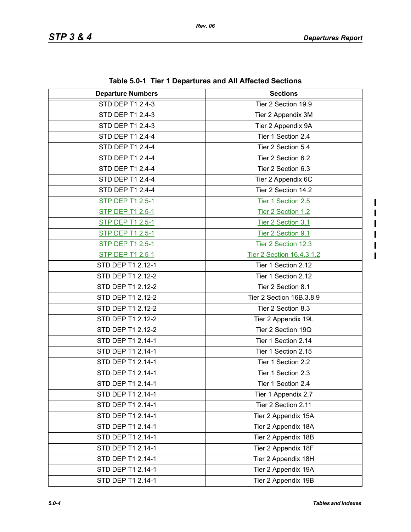| rable 5.0-1 Tier T Departures and All Affected Sections<br><b>Departure Numbers</b><br><b>Sections</b> |                           |  |
|--------------------------------------------------------------------------------------------------------|---------------------------|--|
|                                                                                                        |                           |  |
| <b>STD DEP T1 2.4-3</b>                                                                                | Tier 2 Section 19.9       |  |
| STD DEP T1 2.4-3                                                                                       | Tier 2 Appendix 3M        |  |
| STD DEP T1 2.4-3                                                                                       | Tier 2 Appendix 9A        |  |
| STD DEP T1 2.4-4                                                                                       | Tier 1 Section 2.4        |  |
| STD DEP T1 2.4-4                                                                                       | Tier 2 Section 5.4        |  |
| STD DEP T1 2.4-4                                                                                       | Tier 2 Section 6.2        |  |
| STD DEP T1 2.4-4                                                                                       | Tier 2 Section 6.3        |  |
| <b>STD DEP T1 2.4-4</b>                                                                                | Tier 2 Appendix 6C        |  |
| STD DEP T1 2.4-4                                                                                       | Tier 2 Section 14.2       |  |
| <b>STP DEP T1 2.5-1</b>                                                                                | Tier 1 Section 2.5        |  |
| <b>STP DEP T1 2.5-1</b>                                                                                | Tier 2 Section 1.2        |  |
| <b>STP DEP T1 2.5-1</b>                                                                                | Tier 2 Section 3.1        |  |
| <b>STP DEP T1 2.5-1</b>                                                                                | Tier 2 Section 9.1        |  |
| <b>STP DEP T1 2.5-1</b>                                                                                | Tier 2 Section 12.3       |  |
| <b>STP DEP T1 2.5-1</b>                                                                                | Tier 2 Section 16.4.3.1.2 |  |
| STD DEP T1 2.12-1                                                                                      | Tier 1 Section 2.12       |  |
| STD DEP T1 2.12-2                                                                                      | Tier 1 Section 2.12       |  |
| STD DEP T1 2.12-2                                                                                      | Tier 2 Section 8.1        |  |
| STD DEP T1 2.12-2                                                                                      | Tier 2 Section 16B.3.8.9  |  |
| STD DEP T1 2.12-2                                                                                      | Tier 2 Section 8.3        |  |
| STD DEP T1 2.12-2                                                                                      | Tier 2 Appendix 19L       |  |
| STD DEP T1 2.12-2                                                                                      | Tier 2 Section 19Q        |  |
| STD DEP T1 2.14-1                                                                                      | Tier 1 Section 2.14       |  |
| STD DEP T1 2.14-1                                                                                      | Tier 1 Section 2.15       |  |
| STD DEP T1 2.14-1                                                                                      | Tier 1 Section 2.2        |  |
| STD DEP T1 2.14-1                                                                                      | Tier 1 Section 2.3        |  |
| STD DEP T1 2.14-1                                                                                      | Tier 1 Section 2.4        |  |
| STD DEP T1 2.14-1                                                                                      | Tier 1 Appendix 2.7       |  |
| STD DEP T1 2.14-1                                                                                      | Tier 2 Section 2.11       |  |
| STD DEP T1 2.14-1                                                                                      | Tier 2 Appendix 15A       |  |
| STD DEP T1 2.14-1                                                                                      | Tier 2 Appendix 18A       |  |
| STD DEP T1 2.14-1                                                                                      | Tier 2 Appendix 18B       |  |
| STD DEP T1 2.14-1                                                                                      | Tier 2 Appendix 18F       |  |
| STD DEP T1 2.14-1                                                                                      | Tier 2 Appendix 18H       |  |
| STD DEP T1 2.14-1                                                                                      | Tier 2 Appendix 19A       |  |
| STD DEP T1 2.14-1                                                                                      | Tier 2 Appendix 19B       |  |

**Table 5.0-1 Tier 1 Departures and All Affected Sections**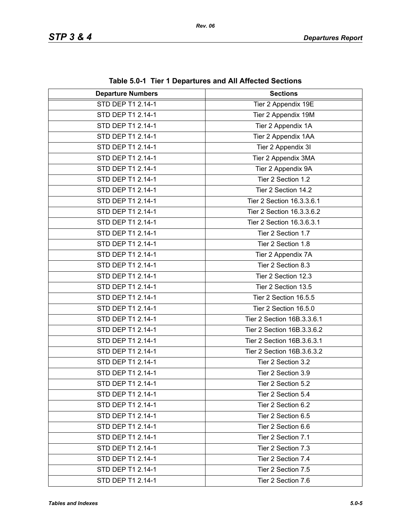| rable J.0-1 Tier T Departures and All Affected Occupits |                            |  |
|---------------------------------------------------------|----------------------------|--|
| <b>Departure Numbers</b>                                | <b>Sections</b>            |  |
| STD DEP T1 2.14-1                                       | Tier 2 Appendix 19E        |  |
| STD DEP T1 2.14-1                                       | Tier 2 Appendix 19M        |  |
| STD DEP T1 2.14-1                                       | Tier 2 Appendix 1A         |  |
| STD DEP T1 2.14-1                                       | Tier 2 Appendix 1AA        |  |
| STD DEP T1 2.14-1                                       | Tier 2 Appendix 3I         |  |
| STD DEP T1 2.14-1                                       | Tier 2 Appendix 3MA        |  |
| STD DEP T1 2.14-1                                       | Tier 2 Appendix 9A         |  |
| STD DEP T1 2.14-1                                       | Tier 2 Section 1.2         |  |
| STD DEP T1 2.14-1                                       | Tier 2 Section 14.2        |  |
| STD DEP T1 2.14-1                                       | Tier 2 Section 16.3.3.6.1  |  |
| STD DEP T1 2.14-1                                       | Tier 2 Section 16.3.3.6.2  |  |
| STD DEP T1 2.14-1                                       | Tier 2 Section 16.3.6.3.1  |  |
| STD DEP T1 2.14-1                                       | Tier 2 Section 1.7         |  |
| STD DEP T1 2.14-1                                       | Tier 2 Section 1.8         |  |
| STD DEP T1 2.14-1                                       | Tier 2 Appendix 7A         |  |
| STD DEP T1 2.14-1                                       | Tier 2 Section 8.3         |  |
| STD DEP T1 2.14-1                                       | Tier 2 Section 12.3        |  |
| STD DEP T1 2.14-1                                       | Tier 2 Section 13.5        |  |
| STD DEP T1 2.14-1                                       | Tier 2 Section 16.5.5      |  |
| STD DEP T1 2.14-1                                       | Tier 2 Section 16.5.0      |  |
| STD DEP T1 2.14-1                                       | Tier 2 Section 16B.3.3.6.1 |  |
| STD DEP T1 2.14-1                                       | Tier 2 Section 16B.3.3.6.2 |  |
| STD DEP T1 2.14-1                                       | Tier 2 Section 16B.3.6.3.1 |  |
| STD DEP T1 2.14-1                                       | Tier 2 Section 16B.3.6.3.2 |  |
| STD DEP T1 2.14-1                                       | Tier 2 Section 3.2         |  |
| STD DEP T1 2.14-1                                       | Tier 2 Section 3.9         |  |
| STD DEP T1 2.14-1                                       | Tier 2 Section 5.2         |  |
| STD DEP T1 2.14-1                                       | Tier 2 Section 5.4         |  |
| STD DEP T1 2.14-1                                       | Tier 2 Section 6.2         |  |
| STD DEP T1 2.14-1                                       | Tier 2 Section 6.5         |  |
| STD DEP T1 2.14-1                                       | Tier 2 Section 6.6         |  |
| STD DEP T1 2.14-1                                       | Tier 2 Section 7.1         |  |
| STD DEP T1 2.14-1                                       | Tier 2 Section 7.3         |  |
| STD DEP T1 2.14-1                                       | Tier 2 Section 7.4         |  |
| STD DEP T1 2.14-1                                       | Tier 2 Section 7.5         |  |
| STD DEP T1 2.14-1                                       | Tier 2 Section 7.6         |  |

**Table 5.0-1 Tier 1 Departures and All Affected Sections**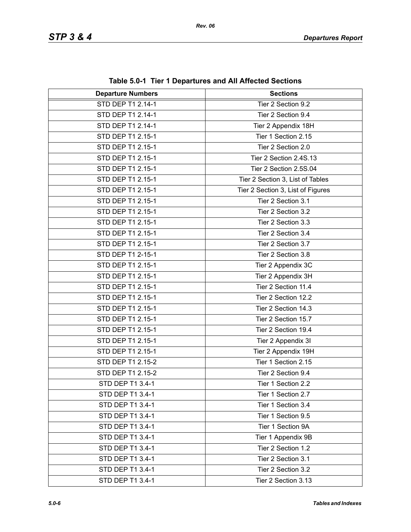| <b>Departure Numbers</b> | $1000$ v.v. The TD begin turbs and Amaphotod Occupits<br><b>Sections</b> |  |
|--------------------------|--------------------------------------------------------------------------|--|
| STD DEP T1 2.14-1        | Tier 2 Section 9.2                                                       |  |
| STD DEP T1 2.14-1        | Tier 2 Section 9.4                                                       |  |
| STD DEP T1 2.14-1        | Tier 2 Appendix 18H                                                      |  |
| STD DEP T1 2.15-1        | Tier 1 Section 2.15                                                      |  |
| STD DEP T1 2.15-1        | Tier 2 Section 2.0                                                       |  |
| STD DEP T1 2.15-1        | Tier 2 Section 2.4S.13                                                   |  |
| STD DEP T1 2.15-1        | Tier 2 Section 2.5S.04                                                   |  |
| STD DEP T1 2.15-1        | Tier 2 Section 3, List of Tables                                         |  |
| STD DEP T1 2.15-1        | Tier 2 Section 3, List of Figures                                        |  |
| STD DEP T1 2.15-1        | Tier 2 Section 3.1                                                       |  |
| STD DEP T1 2.15-1        | Tier 2 Section 3.2                                                       |  |
| STD DEP T1 2.15-1        | Tier 2 Section 3.3                                                       |  |
| STD DEP T1 2.15-1        | Tier 2 Section 3.4                                                       |  |
| STD DEP T1 2.15-1        | Tier 2 Section 3.7                                                       |  |
| STD DEP T1 2-15-1        | Tier 2 Section 3.8                                                       |  |
| STD DEP T1 2.15-1        | Tier 2 Appendix 3C                                                       |  |
| STD DEP T1 2.15-1        |                                                                          |  |
| STD DEP T1 2.15-1        | Tier 2 Appendix 3H<br>Tier 2 Section 11.4                                |  |
| STD DEP T1 2.15-1        | Tier 2 Section 12.2                                                      |  |
| STD DEP T1 2.15-1        | Tier 2 Section 14.3                                                      |  |
| STD DEP T1 2.15-1        | Tier 2 Section 15.7                                                      |  |
| STD DEP T1 2.15-1        | Tier 2 Section 19.4                                                      |  |
| STD DEP T1 2.15-1        | Tier 2 Appendix 3I                                                       |  |
| STD DEP T1 2.15-1        | Tier 2 Appendix 19H                                                      |  |
| STD DEP T1 2.15-2        | Tier 1 Section 2.15                                                      |  |
| STD DEP T1 2.15-2        | Tier 2 Section 9.4                                                       |  |
|                          |                                                                          |  |
| STD DEP T1 3.4-1         | Tier 1 Section 2.2                                                       |  |
| STD DEP T1 3.4-1         | Tier 1 Section 2.7                                                       |  |
| STD DEP T1 3.4-1         | Tier 1 Section 3.4                                                       |  |
| STD DEP T1 3.4-1         | Tier 1 Section 9.5                                                       |  |
| STD DEP T1 3.4-1         | Tier 1 Section 9A                                                        |  |
| STD DEP T1 3.4-1         | Tier 1 Appendix 9B                                                       |  |
| STD DEP T1 3.4-1         | Tier 2 Section 1.2                                                       |  |
| STD DEP T1 3.4-1         | Tier 2 Section 3.1                                                       |  |
| STD DEP T1 3.4-1         | Tier 2 Section 3.2                                                       |  |
| STD DEP T1 3.4-1         | Tier 2 Section 3.13                                                      |  |

**Table 5.0-1 Tier 1 Departures and All Affected Sections**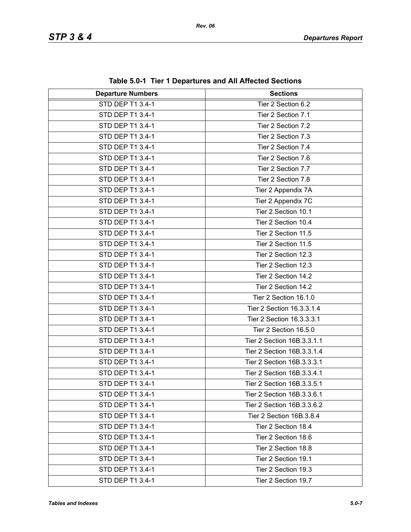| <b>Departure Numbers</b> | rapie 0.0-1 Tier T Departures and All Affected Occilens<br><b>Sections</b> |  |
|--------------------------|----------------------------------------------------------------------------|--|
| STD DEP T1 3.4-1         | Tier 2 Section 6.2                                                         |  |
| STD DEP T1 3.4-1         | Tier 2 Section 7.1                                                         |  |
|                          |                                                                            |  |
| STD DEP T1 3.4-1         | Tier 2 Section 7.2                                                         |  |
| STD DEP T1 3.4-1         | Tier 2 Section 7.3                                                         |  |
| STD DEP T1 3.4-1         | Tier 2 Section 7.4                                                         |  |
| STD DEP T1 3.4-1         | Tier 2 Section 7.6                                                         |  |
| STD DEP T1 3.4-1         | Tier 2 Section 7.7                                                         |  |
| STD DEP T1 3.4-1         | Tier 2 Section 7.8                                                         |  |
| STD DEP T1 3.4-1         | Tier 2 Appendix 7A                                                         |  |
| STD DEP T1 3.4-1         | Tier 2 Appendix 7C                                                         |  |
| STD DEP T1 3.4-1         | Tier 2 Section 10.1                                                        |  |
| STD DEP T1 3.4-1         | Tier 2 Section 10.4                                                        |  |
| STD DEP T1 3.4-1         | Tier 2 Section 11.5                                                        |  |
| STD DEP T1 3.4-1         | Tier 2 Section 11.5                                                        |  |
| STD DEP T1 3.4-1         | Tier 2 Section 12.3                                                        |  |
| STD DEP T1 3.4-1         | Tier 2 Section 12.3                                                        |  |
| STD DEP T1 3.4-1         | Tier 2 Section 14.2                                                        |  |
| STD DEP T1 3.4-1         | Tier 2 Section 14.2                                                        |  |
| STD DEP T1 3.4-1         | Tier 2 Section 16.1.0                                                      |  |
| STD DEP T1 3.4-1         | Tier 2 Section 16.3.3.1.4                                                  |  |
| STD DEP T1 3.4-1         | Tier 2 Section 16.3.3.3.1                                                  |  |
| STD DEP T1 3.4-1         | Tier 2 Section 16.5.0                                                      |  |
| STD DEP T1 3.4-1         | Tier 2 Section 16B.3.3.1.1                                                 |  |
| STD DEP T1 3.4-1         | Tier 2 Section 16B.3.3.1.4                                                 |  |
| STD DEP T1 3.4-1         | Tier 2 Section 16B.3.3.3.1                                                 |  |
| STD DEP T1 3.4-1         | Tier 2 Section 16B.3.3.4.1                                                 |  |
| STD DEP T1 3.4-1         | Tier 2 Section 16B.3.3.5.1                                                 |  |
| STD DEP T1 3.4-1         | Tier 2 Section 16B.3.3.6.1                                                 |  |
| STD DEP T1 3.4-1         | Tier 2 Section 16B.3.3.6.2                                                 |  |
| STD DEP T1 3.4-1         | Tier 2 Section 16B.3.8.4                                                   |  |
| STD DEP T1 3.4-1         | Tier 2 Section 18.4                                                        |  |
| STD DEP T1 3.4-1         | Tier 2 Section 18.6                                                        |  |
| STD DEP T1 3.4-1         | Tier 2 Section 18.8                                                        |  |
| STD DEP T1 3.4-1         | Tier 2 Section 19.1                                                        |  |
| STD DEP T1 3.4-1         | Tier 2 Section 19.3                                                        |  |
| STD DEP T1 3.4-1         | Tier 2 Section 19.7                                                        |  |

**Table 5.0-1 Tier 1 Departures and All Affected Sections**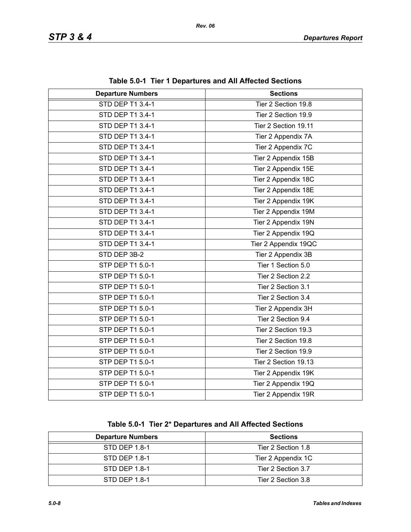| <b>Departure Numbers</b> | <b>Sections</b>      |  |
|--------------------------|----------------------|--|
| <b>STD DEP T1 3.4-1</b>  | Tier 2 Section 19.8  |  |
| STD DEP T1 3.4-1         | Tier 2 Section 19.9  |  |
| STD DEP T1 3.4-1         | Tier 2 Section 19.11 |  |
| STD DEP T1 3.4-1         | Tier 2 Appendix 7A   |  |
| STD DEP T1 3.4-1         | Tier 2 Appendix 7C   |  |
| STD DEP T1 3.4-1         | Tier 2 Appendix 15B  |  |
| STD DEP T1 3.4-1         | Tier 2 Appendix 15E  |  |
| STD DEP T1 3.4-1         | Tier 2 Appendix 18C  |  |
| STD DEP T1 3.4-1         | Tier 2 Appendix 18E  |  |
| STD DEP T1 3.4-1         | Tier 2 Appendix 19K  |  |
| STD DEP T1 3.4-1         | Tier 2 Appendix 19M  |  |
| STD DEP T1 3.4-1         | Tier 2 Appendix 19N  |  |
| STD DEP T1 3.4-1         | Tier 2 Appendix 19Q  |  |
| STD DEP T1 3.4-1         | Tier 2 Appendix 19QC |  |
| STD DEP 3B-2             | Tier 2 Appendix 3B   |  |
| STP DEP T1 5.0-1         | Tier 1 Section 5.0   |  |
| STP DEP T1 5.0-1         | Tier 2 Section 2.2   |  |
| STP DEP T1 5.0-1         | Tier 2 Section 3.1   |  |
| STP DEP T1 5.0-1         | Tier 2 Section 3.4   |  |
| STP DEP T1 5.0-1         | Tier 2 Appendix 3H   |  |
| STP DEP T1 5.0-1         | Tier 2 Section 9.4   |  |
| STP DEP T1 5.0-1         | Tier 2 Section 19.3  |  |
| STP DEP T1 5.0-1         | Tier 2 Section 19.8  |  |
| STP DEP T1 5.0-1         | Tier 2 Section 19.9  |  |
| STP DEP T1 5.0-1         | Tier 2 Section 19.13 |  |
| STP DEP T1 5.0-1         | Tier 2 Appendix 19K  |  |
| STP DEP T1 5.0-1         | Tier 2 Appendix 19Q  |  |
| STP DEP T1 5.0-1         | Tier 2 Appendix 19R  |  |

**Table 5.0-1 Tier 1 Departures and All Affected Sections**

**Table 5.0-1 Tier 2\* Departures and All Affected Sections**

| <b>Departure Numbers</b> | <b>Sections</b>    |
|--------------------------|--------------------|
| STD DEP 1.8-1            | Tier 2 Section 1.8 |
| STD DEP 1.8-1            | Tier 2 Appendix 1C |
| STD DEP 1.8-1            | Tier 2 Section 3.7 |
| STD DEP 1.8-1            | Tier 2 Section 3.8 |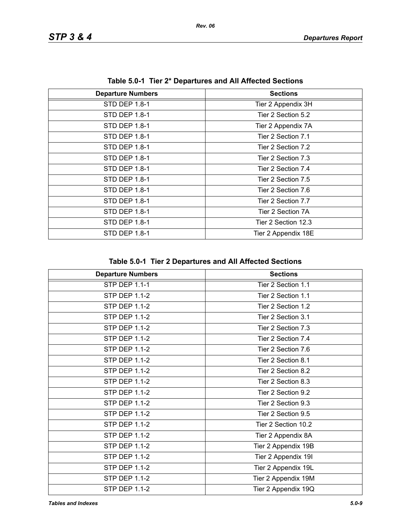| Table 3.0-T Tiel 2 Departules and All Allected Sections |                     |  |
|---------------------------------------------------------|---------------------|--|
| <b>Departure Numbers</b>                                | <b>Sections</b>     |  |
| <b>STD DEP 1.8-1</b>                                    | Tier 2 Appendix 3H  |  |
| STD DEP 1.8-1                                           | Tier 2 Section 5.2  |  |
| STD DEP 1.8-1                                           | Tier 2 Appendix 7A  |  |
| STD DEP 1.8-1                                           | Tier 2 Section 7.1  |  |
| STD DEP 1.8-1                                           | Tier 2 Section 7.2  |  |
| STD DEP 1.8-1                                           | Tier 2 Section 7.3  |  |
| STD DEP 1.8-1                                           | Tier 2 Section 7.4  |  |
| STD DEP 1.8-1                                           | Tier 2 Section 7.5  |  |
| STD DEP 1.8-1                                           | Tier 2 Section 7.6  |  |
| STD DEP 1.8-1                                           | Tier 2 Section 7.7  |  |
| STD DEP 1.8-1                                           | Tier 2 Section 7A   |  |
| STD DEP 1.8-1                                           | Tier 2 Section 12.3 |  |
| STD DEP 1.8-1                                           | Tier 2 Appendix 18E |  |

**Table 5.0-1 Tier 2\* Departures and All Affected Sections**

|  |  | Table 5.0-1 Tier 2 Departures and All Affected Sections |  |  |
|--|--|---------------------------------------------------------|--|--|
|--|--|---------------------------------------------------------|--|--|

| <b>Departure Numbers</b> | <b>Sections</b>     |
|--------------------------|---------------------|
| STP DEP 1.1-1            | Tier 2 Section 1.1  |
| <b>STP DEP 1.1-2</b>     | Tier 2 Section 1.1  |
| <b>STP DEP 1.1-2</b>     | Tier 2 Section 1.2  |
| <b>STP DEP 1.1-2</b>     | Tier 2 Section 3.1  |
| <b>STP DEP 1.1-2</b>     | Tier 2 Section 7.3  |
| <b>STP DEP 1.1-2</b>     | Tier 2 Section 7.4  |
| STP DEP 1.1-2            | Tier 2 Section 7.6  |
| <b>STP DEP 1.1-2</b>     | Tier 2 Section 8.1  |
| <b>STP DEP 1.1-2</b>     | Tier 2 Section 8.2  |
| <b>STP DEP 1.1-2</b>     | Tier 2 Section 8.3  |
| <b>STP DEP 1.1-2</b>     | Tier 2 Section 9.2  |
| <b>STP DEP 1.1-2</b>     | Tier 2 Section 9.3  |
| <b>STP DEP 1.1-2</b>     | Tier 2 Section 9.5  |
| <b>STP DEP 1.1-2</b>     | Tier 2 Section 10.2 |
| <b>STP DEP 1.1-2</b>     | Tier 2 Appendix 8A  |
| <b>STP DEP 1.1-2</b>     | Tier 2 Appendix 19B |
| <b>STP DEP 1.1-2</b>     | Tier 2 Appendix 19I |
| <b>STP DEP 1.1-2</b>     | Tier 2 Appendix 19L |
| <b>STP DEP 1.1-2</b>     | Tier 2 Appendix 19M |
| <b>STP DEP 1.1-2</b>     | Tier 2 Appendix 19Q |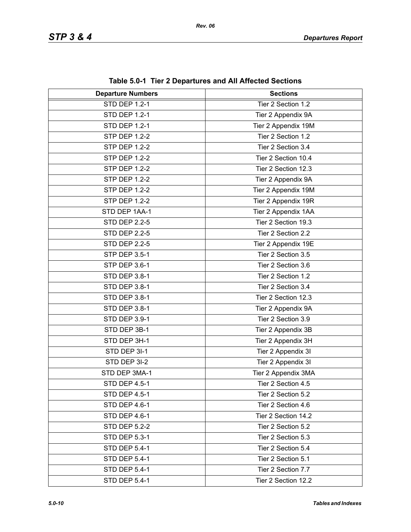| <b>Departure Numbers</b> | <b>Sections</b>     |  |
|--------------------------|---------------------|--|
| <b>STD DEP 1.2-1</b>     | Tier 2 Section 1.2  |  |
| <b>STD DEP 1.2-1</b>     | Tier 2 Appendix 9A  |  |
| <b>STD DEP 1.2-1</b>     | Tier 2 Appendix 19M |  |
| <b>STP DEP 1.2-2</b>     | Tier 2 Section 1.2  |  |
| <b>STP DEP 1.2-2</b>     | Tier 2 Section 3.4  |  |
| <b>STP DEP 1.2-2</b>     | Tier 2 Section 10.4 |  |
| <b>STP DEP 1.2-2</b>     | Tier 2 Section 12.3 |  |
| <b>STP DEP 1.2-2</b>     | Tier 2 Appendix 9A  |  |
| <b>STP DEP 1.2-2</b>     | Tier 2 Appendix 19M |  |
| <b>STP DEP 1.2-2</b>     | Tier 2 Appendix 19R |  |
| STD DEP 1AA-1            | Tier 2 Appendix 1AA |  |
| <b>STD DEP 2.2-5</b>     | Tier 2 Section 19.3 |  |
| <b>STD DEP 2.2-5</b>     | Tier 2 Section 2.2  |  |
| <b>STD DEP 2.2-5</b>     | Tier 2 Appendix 19E |  |
| <b>STP DEP 3.5-1</b>     | Tier 2 Section 3.5  |  |
| STP DEP 3.6-1            | Tier 2 Section 3.6  |  |
| STD DEP 3.8-1            | Tier 2 Section 1.2  |  |
| STD DEP 3.8-1            | Tier 2 Section 3.4  |  |
| STD DEP 3.8-1            | Tier 2 Section 12.3 |  |
| STD DEP 3.8-1            | Tier 2 Appendix 9A  |  |
| STD DEP 3.9-1            | Tier 2 Section 3.9  |  |
| STD DEP 3B-1             | Tier 2 Appendix 3B  |  |
| STD DEP 3H-1             | Tier 2 Appendix 3H  |  |
| STD DEP 3I-1             | Tier 2 Appendix 3I  |  |
| STD DEP 3I-2             | Tier 2 Appendix 3I  |  |
| STD DEP 3MA-1            | Tier 2 Appendix 3MA |  |
| STD DEP 4.5-1            | Tier 2 Section 4.5  |  |
| STD DEP 4.5-1            | Tier 2 Section 5.2  |  |
| STD DEP 4.6-1            | Tier 2 Section 4.6  |  |
| STD DEP 4.6-1            | Tier 2 Section 14.2 |  |
| <b>STD DEP 5.2-2</b>     | Tier 2 Section 5.2  |  |
| <b>STD DEP 5.3-1</b>     | Tier 2 Section 5.3  |  |
| STD DEP 5.4-1            | Tier 2 Section 5.4  |  |
| <b>STD DEP 5.4-1</b>     | Tier 2 Section 5.1  |  |
| <b>STD DEP 5.4-1</b>     | Tier 2 Section 7.7  |  |
| STD DEP 5.4-1            | Tier 2 Section 12.2 |  |

**Table 5.0-1 Tier 2 Departures and All Affected Sections**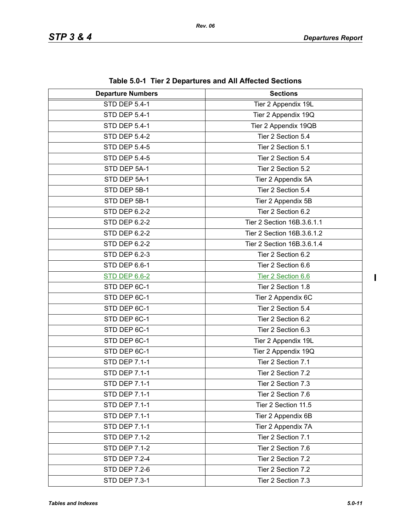| <b>Departure Numbers</b> | $1000$ vive $1001$ $\leq$ Departates and American Occupits<br><b>Sections</b> |
|--------------------------|-------------------------------------------------------------------------------|
| <b>STD DEP 5.4-1</b>     | Tier 2 Appendix 19L                                                           |
| STD DEP 5.4-1            | Tier 2 Appendix 19Q                                                           |
| <b>STD DEP 5.4-1</b>     | Tier 2 Appendix 19QB                                                          |
| <b>STD DEP 5.4-2</b>     | Tier 2 Section 5.4                                                            |
| <b>STD DEP 5.4-5</b>     | Tier 2 Section 5.1                                                            |
| <b>STD DEP 5.4-5</b>     | Tier 2 Section 5.4                                                            |
| STD DEP 5A-1             | Tier 2 Section 5.2                                                            |
| STD DEP 5A-1             | Tier 2 Appendix 5A                                                            |
| STD DEP 5B-1             | Tier 2 Section 5.4                                                            |
| STD DEP 5B-1             | Tier 2 Appendix 5B                                                            |
| STD DEP 6.2-2            | Tier 2 Section 6.2                                                            |
| <b>STD DEP 6.2-2</b>     | Tier 2 Section 16B.3.6.1.1                                                    |
| <b>STD DEP 6.2-2</b>     | Tier 2 Section 16B.3.6.1.2                                                    |
| STD DEP 6.2-2            | Tier 2 Section 16B.3.6.1.4                                                    |
| STD DEP 6.2-3            | Tier 2 Section 6.2                                                            |
| STD DEP 6.6-1            | Tier 2 Section 6.6                                                            |
| <b>STD DEP 6.6-2</b>     | Tier 2 Section 6.6                                                            |
| STD DEP 6C-1             | Tier 2 Section 1.8                                                            |
| STD DEP 6C-1             | Tier 2 Appendix 6C                                                            |
| STD DEP 6C-1             | Tier 2 Section 5.4                                                            |
| STD DEP 6C-1             | Tier 2 Section 6.2                                                            |
| STD DEP 6C-1             | Tier 2 Section 6.3                                                            |
| STD DEP 6C-1             | Tier 2 Appendix 19L                                                           |
| STD DEP 6C-1             | Tier 2 Appendix 19Q                                                           |
| <b>STD DEP 7.1-1</b>     | Tier 2 Section 7.1                                                            |
| <b>STD DEP 7.1-1</b>     | Tier 2 Section 7.2                                                            |
| STD DEP 7.1-1            | Tier 2 Section 7.3                                                            |
| <b>STD DEP 7.1-1</b>     | Tier 2 Section 7.6                                                            |
| <b>STD DEP 7.1-1</b>     | Tier 2 Section 11.5                                                           |
| <b>STD DEP 7.1-1</b>     | Tier 2 Appendix 6B                                                            |
| <b>STD DEP 7.1-1</b>     | Tier 2 Appendix 7A                                                            |
| <b>STD DEP 7.1-2</b>     | Tier 2 Section 7.1                                                            |
| <b>STD DEP 7.1-2</b>     | Tier 2 Section 7.6                                                            |
| <b>STD DEP 7.2-4</b>     | Tier 2 Section 7.2                                                            |
| <b>STD DEP 7.2-6</b>     | Tier 2 Section 7.2                                                            |
| <b>STD DEP 7.3-1</b>     | Tier 2 Section 7.3                                                            |

**Table 5.0-1 Tier 2 Departures and All Affected Sections**

 $\begin{array}{c} \hline \end{array}$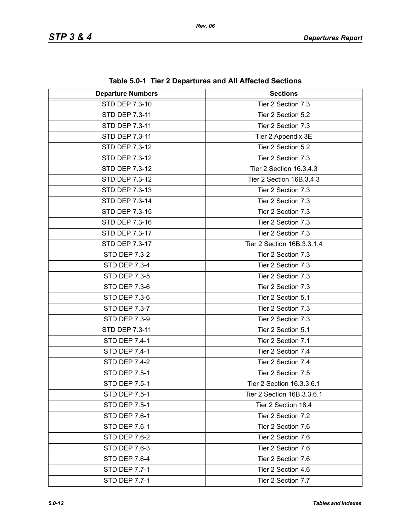| <b>Departure Numbers</b> | <b>Sections</b>            |
|--------------------------|----------------------------|
| STD DEP 7.3-10           | Tier 2 Section 7.3         |
| STD DEP 7.3-11           | Tier 2 Section 5.2         |
| STD DEP 7.3-11           | Tier 2 Section 7.3         |
| STD DEP 7.3-11           | Tier 2 Appendix 3E         |
| STD DEP 7.3-12           | Tier 2 Section 5.2         |
| STD DEP 7.3-12           | Tier 2 Section 7.3         |
| STD DEP 7.3-12           | Tier 2 Section 16.3.4.3    |
| STD DEP 7.3-12           | Tier 2 Section 16B.3.4.3   |
| STD DEP 7.3-13           | Tier 2 Section 7.3         |
| STD DEP 7.3-14           | Tier 2 Section 7.3         |
| STD DEP 7.3-15           | Tier 2 Section 7.3         |
| STD DEP 7.3-16           | Tier 2 Section 7.3         |
| STD DEP 7.3-17           | Tier 2 Section 7.3         |
| STD DEP 7.3-17           | Tier 2 Section 16B.3.3.1.4 |
| <b>STD DEP 7.3-2</b>     | Tier 2 Section 7.3         |
| <b>STD DEP 7.3-4</b>     | Tier 2 Section 7.3         |
| <b>STD DEP 7.3-5</b>     | Tier 2 Section 7.3         |
| <b>STD DEP 7.3-6</b>     | Tier 2 Section 7.3         |
| <b>STD DEP 7.3-6</b>     | Tier 2 Section 5.1         |
| STD DEP 7.3-7            | Tier 2 Section 7.3         |
| <b>STD DEP 7.3-9</b>     | Tier 2 Section 7.3         |
| STD DEP 7.3-11           | Tier 2 Section 5.1         |
| <b>STD DEP 7.4-1</b>     | Tier 2 Section 7.1         |
| <b>STD DEP 7.4-1</b>     | Tier 2 Section 7.4         |
| <b>STD DEP 7.4-2</b>     | Tier 2 Section 7.4         |
| <b>STD DEP 7.5-1</b>     | Tier 2 Section 7.5         |
| STD DEP 7.5-1            | Tier 2 Section 16.3.3.6.1  |
| STD DEP 7.5-1            | Tier 2 Section 16B.3.3.6.1 |
| <b>STD DEP 7.5-1</b>     | Tier 2 Section 18.4        |
| <b>STD DEP 7.6-1</b>     | Tier 2 Section 7.2         |
| STD DEP 7.6-1            | Tier 2 Section 7.6         |
| <b>STD DEP 7.6-2</b>     | Tier 2 Section 7.6         |
| STD DEP 7.6-3            | Tier 2 Section 7.6         |
| STD DEP 7.6-4            | Tier 2 Section 7.6         |
| <b>STD DEP 7.7-1</b>     | Tier 2 Section 4.6         |
| <b>STD DEP 7.7-1</b>     | Tier 2 Section 7.7         |

**Table 5.0-1 Tier 2 Departures and All Affected Sections**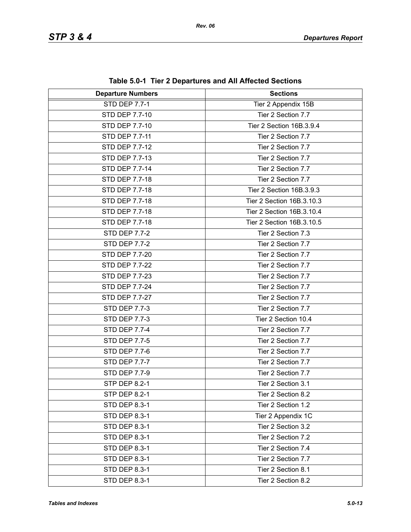| <b>Departure Numbers</b> | <b>Sections</b>           |
|--------------------------|---------------------------|
| <b>STD DEP 7.7-1</b>     | Tier 2 Appendix 15B       |
| STD DEP 7.7-10           | Tier 2 Section 7.7        |
| STD DEP 7.7-10           | Tier 2 Section 16B.3.9.4  |
| STD DEP 7.7-11           | Tier 2 Section 7.7        |
| STD DEP 7.7-12           | Tier 2 Section 7.7        |
| <b>STD DEP 7.7-13</b>    | Tier 2 Section 7.7        |
| STD DEP 7.7-14           | Tier 2 Section 7.7        |
| STD DEP 7.7-18           | Tier 2 Section 7.7        |
| <b>STD DEP 7.7-18</b>    | Tier 2 Section 16B.3.9.3  |
| STD DEP 7.7-18           | Tier 2 Section 16B.3.10.3 |
| STD DEP 7.7-18           | Tier 2 Section 16B.3.10.4 |
| STD DEP 7.7-18           | Tier 2 Section 16B.3.10.5 |
| <b>STD DEP 7.7-2</b>     | Tier 2 Section 7.3        |
| <b>STD DEP 7.7-2</b>     | Tier 2 Section 7.7        |
| <b>STD DEP 7.7-20</b>    | Tier 2 Section 7.7        |
| STD DEP 7.7-22           | Tier 2 Section 7.7        |
| STD DEP 7.7-23           | Tier 2 Section 7.7        |
| STD DEP 7.7-24           | Tier 2 Section 7.7        |
| STD DEP 7.7-27           | Tier 2 Section 7.7        |
| STD DEP 7.7-3            | Tier 2 Section 7.7        |
| <b>STD DEP 7.7-3</b>     | Tier 2 Section 10.4       |
| <b>STD DEP 7.7-4</b>     | Tier 2 Section 7.7        |
| <b>STD DEP 7.7-5</b>     | Tier 2 Section 7.7        |
| <b>STD DEP 7.7-6</b>     | Tier 2 Section 7.7        |
| STD DEP 7.7-7            | Tier 2 Section 7.7        |
| <b>STD DEP 7.7-9</b>     | Tier 2 Section 7.7        |
| <b>STP DEP 8.2-1</b>     | Tier 2 Section 3.1        |
| <b>STP DEP 8.2-1</b>     | Tier 2 Section 8.2        |
| STD DEP 8.3-1            | Tier 2 Section 1.2        |
| STD DEP 8.3-1            | Tier 2 Appendix 1C        |
| STD DEP 8.3-1            | Tier 2 Section 3.2        |
| STD DEP 8.3-1            | Tier 2 Section 7.2        |
| STD DEP 8.3-1            | Tier 2 Section 7.4        |
| STD DEP 8.3-1            | Tier 2 Section 7.7        |
| STD DEP 8.3-1            | Tier 2 Section 8.1        |
| STD DEP 8.3-1            | Tier 2 Section 8.2        |

**Table 5.0-1 Tier 2 Departures and All Affected Sections**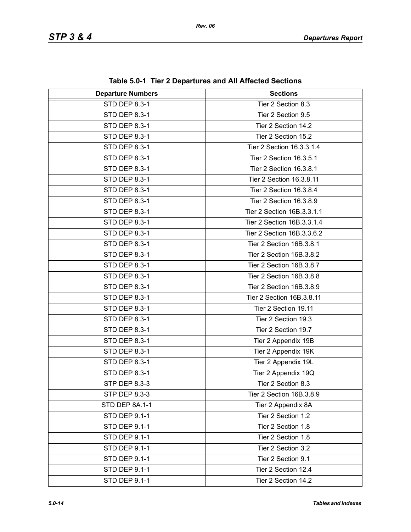| <b>Departure Numbers</b> | <b>Sections</b>            |
|--------------------------|----------------------------|
| STD DEP 8.3-1            | Tier 2 Section 8.3         |
| STD DEP 8.3-1            | Tier 2 Section 9.5         |
| STD DEP 8.3-1            | Tier 2 Section 14.2        |
| STD DEP 8.3-1            | Tier 2 Section 15.2        |
| STD DEP 8.3-1            | Tier 2 Section 16.3.3.1.4  |
| STD DEP 8.3-1            | Tier 2 Section 16.3.5.1    |
| STD DEP 8.3-1            | Tier 2 Section 16.3.8.1    |
| STD DEP 8.3-1            | Tier 2 Section 16.3.8.11   |
| STD DEP 8.3-1            | Tier 2 Section 16.3.8.4    |
| STD DEP 8.3-1            | Tier 2 Section 16.3.8.9    |
| STD DEP 8.3-1            | Tier 2 Section 16B.3.3.1.1 |
| STD DEP 8.3-1            | Tier 2 Section 16B.3.3.1.4 |
| STD DEP 8.3-1            | Tier 2 Section 16B.3.3.6.2 |
| STD DEP 8.3-1            | Tier 2 Section 16B.3.8.1   |
| STD DEP 8.3-1            | Tier 2 Section 16B.3.8.2   |
| STD DEP 8.3-1            | Tier 2 Section 16B.3.8.7   |
| STD DEP 8.3-1            | Tier 2 Section 16B.3.8.8   |
| STD DEP 8.3-1            | Tier 2 Section 16B.3.8.9   |
| STD DEP 8.3-1            | Tier 2 Section 16B.3.8.11  |
| STD DEP 8.3-1            | Tier 2 Section 19.11       |
| STD DEP 8.3-1            | Tier 2 Section 19.3        |
| STD DEP 8.3-1            | Tier 2 Section 19.7        |
| STD DEP 8.3-1            | Tier 2 Appendix 19B        |
| STD DEP 8.3-1            | Tier 2 Appendix 19K        |
| STD DEP 8.3-1            | Tier 2 Appendix 19L        |
| <b>STD DEP 8.3-1</b>     | Tier 2 Appendix 19Q        |
| STP DEP 8.3-3            | Tier 2 Section 8.3         |
| STP DEP 8.3-3            | Tier 2 Section 16B.3.8.9   |
| STD DEP 8A.1-1           | Tier 2 Appendix 8A         |
| STD DEP 9.1-1            | Tier 2 Section 1.2         |
| <b>STD DEP 9.1-1</b>     | Tier 2 Section 1.8         |
| <b>STD DEP 9.1-1</b>     | Tier 2 Section 1.8         |
| <b>STD DEP 9.1-1</b>     | Tier 2 Section 3.2         |
| <b>STD DEP 9.1-1</b>     | Tier 2 Section 9.1         |
| STD DEP 9.1-1            | Tier 2 Section 12.4        |
| STD DEP 9.1-1            | Tier 2 Section 14.2        |

**Table 5.0-1 Tier 2 Departures and All Affected Sections**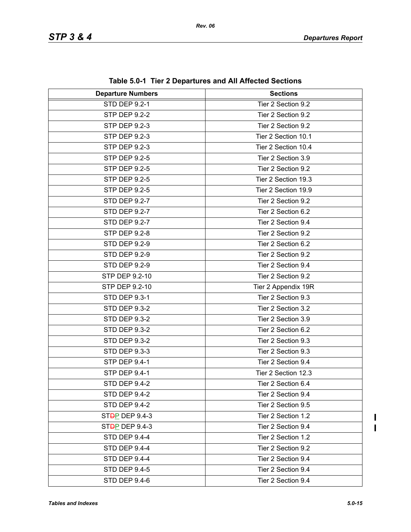| $1800$ $300$ $1$ $100$ $2$ $100$ $90$ $100$ $100$ $100$ $100$ $100$ $100$ |                     |
|---------------------------------------------------------------------------|---------------------|
| <b>Departure Numbers</b>                                                  | <b>Sections</b>     |
| <b>STD DEP 9.2-1</b>                                                      | Tier 2 Section 9.2  |
| <b>STP DEP 9.2-2</b>                                                      | Tier 2 Section 9.2  |
| STP DEP 9.2-3                                                             | Tier 2 Section 9.2  |
| <b>STP DEP 9.2-3</b>                                                      | Tier 2 Section 10.1 |
| <b>STP DEP 9.2-3</b>                                                      | Tier 2 Section 10.4 |
| STP DEP 9.2-5                                                             | Tier 2 Section 3.9  |
| <b>STP DEP 9.2-5</b>                                                      | Tier 2 Section 9.2  |
| STP DEP 9.2-5                                                             | Tier 2 Section 19.3 |
| STP DEP 9.2-5                                                             | Tier 2 Section 19.9 |
| STD DEP 9.2-7                                                             | Tier 2 Section 9.2  |
| STD DEP 9.2-7                                                             | Tier 2 Section 6.2  |
| STD DEP 9.2-7                                                             | Tier 2 Section 9.4  |
| <b>STP DEP 9.2-8</b>                                                      | Tier 2 Section 9.2  |
| <b>STD DEP 9.2-9</b>                                                      | Tier 2 Section 6.2  |
| <b>STD DEP 9.2-9</b>                                                      | Tier 2 Section 9.2  |
| <b>STD DEP 9.2-9</b>                                                      | Tier 2 Section 9.4  |
| STP DEP 9.2-10                                                            | Tier 2 Section 9.2  |
| STP DEP 9.2-10                                                            | Tier 2 Appendix 19R |
| STD DEP 9.3-1                                                             | Tier 2 Section 9.3  |
| <b>STD DEP 9.3-2</b>                                                      | Tier 2 Section 3.2  |
| <b>STD DEP 9.3-2</b>                                                      | Tier 2 Section 3.9  |
| <b>STD DEP 9.3-2</b>                                                      | Tier 2 Section 6.2  |
| <b>STD DEP 9.3-2</b>                                                      | Tier 2 Section 9.3  |
| <b>STD DEP 9.3-3</b>                                                      | Tier 2 Section 9.3  |
| STP DEP 9.4-1                                                             | Tier 2 Section 9.4  |
| STP DEP 9.4-1                                                             | Tier 2 Section 12.3 |
| <b>STD DEP 9.4-2</b>                                                      | Tier 2 Section 6.4  |
| <b>STD DEP 9.4-2</b>                                                      | Tier 2 Section 9.4  |
| STD DEP 9.4-2                                                             | Tier 2 Section 9.5  |
| ST <sub>D</sub> P DEP 9.4-3                                               | Tier 2 Section 1.2  |
| ST <sub>D</sub> P DEP 9.4-3                                               | Tier 2 Section 9.4  |
| STD DEP 9.4-4                                                             | Tier 2 Section 1.2  |
| STD DEP 9.4-4                                                             | Tier 2 Section 9.2  |
| <b>STD DEP 9.4-4</b>                                                      | Tier 2 Section 9.4  |
| STD DEP 9.4-5                                                             | Tier 2 Section 9.4  |
| STD DEP 9.4-6                                                             | Tier 2 Section 9.4  |

**Table 5.0-1 Tier 2 Departures and All Affected Sections**

 $\mathbf l$  $\overline{1}$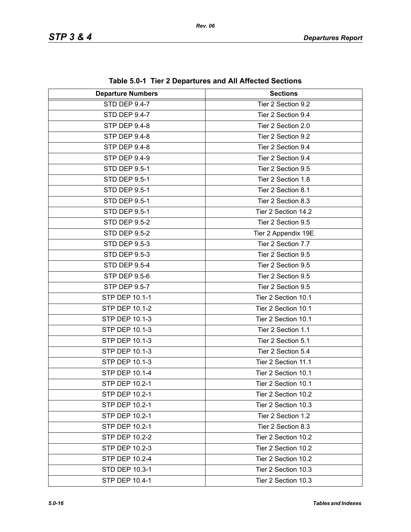| <b>Departure Numbers</b> | $1400$ $0.01$ $1.101$ $\pm$ $0.000$ $0.000$ $0.000$ $0.000$ $0.000$ $0.000$<br><b>Sections</b> |
|--------------------------|------------------------------------------------------------------------------------------------|
| STD DEP 9.4-7            | Tier 2 Section 9.2                                                                             |
| STD DEP 9.4-7            | Tier 2 Section 9.4                                                                             |
| STP DEP 9.4-8            | Tier 2 Section 2.0                                                                             |
| STP DEP 9.4-8            | Tier 2 Section 9.2                                                                             |
| <b>STP DEP 9.4-8</b>     | Tier 2 Section 9.4                                                                             |
| STP DEP 9.4-9            | Tier 2 Section 9.4                                                                             |
| <b>STD DEP 9.5-1</b>     | Tier 2 Section 9.5                                                                             |
| <b>STD DEP 9.5-1</b>     | Tier 2 Section 1.8                                                                             |
| <b>STD DEP 9.5-1</b>     | Tier 2 Section 8.1                                                                             |
| <b>STD DEP 9.5-1</b>     | Tier 2 Section 8.3                                                                             |
| <b>STD DEP 9.5-1</b>     | Tier 2 Section 14.2                                                                            |
| <b>STD DEP 9.5-2</b>     | Tier 2 Section 9.5                                                                             |
| <b>STD DEP 9.5-2</b>     | Tier 2 Appendix 19E                                                                            |
| <b>STD DEP 9.5-3</b>     | Tier 2 Section 7.7                                                                             |
| STD DEP 9.5-3            | Tier 2 Section 9.5                                                                             |
| <b>STD DEP 9.5-4</b>     | Tier 2 Section 9.5                                                                             |
| <b>STP DEP 9.5-6</b>     | Tier 2 Section 9.5                                                                             |
| STP DEP 9.5-7            | Tier 2 Section 9.5                                                                             |
| STP DEP 10.1-1           | Tier 2 Section 10.1                                                                            |
| <b>STP DEP 10.1-2</b>    | Tier 2 Section 10.1                                                                            |
| STP DEP 10.1-3           | Tier 2 Section 10.1                                                                            |
|                          |                                                                                                |
| STP DEP 10.1-3           | Tier 2 Section 1.1                                                                             |
| <b>STP DEP 10.1-3</b>    | Tier 2 Section 5.1                                                                             |
| STP DEP 10.1-3           | Tier 2 Section 5.4                                                                             |
| <b>STP DEP 10.1-3</b>    | Tier 2 Section 11.1                                                                            |
| <b>STP DEP 10.1-4</b>    | Tier 2 Section 10.1                                                                            |
| STP DEP 10.2-1           | Tier 2 Section 10.1                                                                            |
| STP DEP 10.2-1           | Tier 2 Section 10.2                                                                            |
| STP DEP 10.2-1           | Tier 2 Section 10.3                                                                            |
| STP DEP 10.2-1           | Tier 2 Section 1.2                                                                             |
| STP DEP 10.2-1           | Tier 2 Section 8.3                                                                             |
| STP DEP 10.2-2           | Tier 2 Section 10.2                                                                            |
| STP DEP 10.2-3           | Tier 2 Section 10.2                                                                            |
| STP DEP 10.2-4           | Tier 2 Section 10.2                                                                            |
| STD DEP 10.3-1           | Tier 2 Section 10.3                                                                            |
| STP DEP 10.4-1           | Tier 2 Section 10.3                                                                            |

**Table 5.0-1 Tier 2 Departures and All Affected Sections**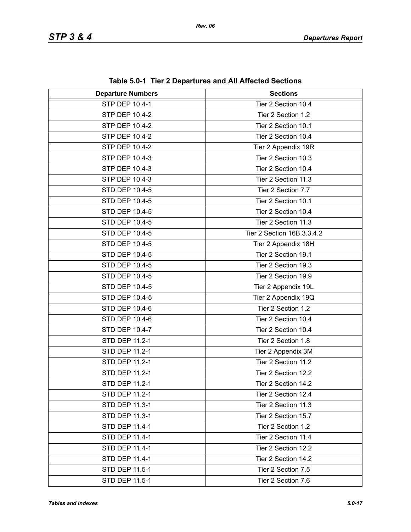| <b>Departure Numbers</b> | <b>Sections</b>            |
|--------------------------|----------------------------|
| STP DEP 10.4-1           | Tier 2 Section 10.4        |
| STP DEP 10.4-2           | Tier 2 Section 1.2         |
| <b>STP DEP 10.4-2</b>    | Tier 2 Section 10.1        |
| STP DEP 10.4-2           | Tier 2 Section 10.4        |
| STP DEP 10.4-2           | Tier 2 Appendix 19R        |
| STP DEP 10.4-3           | Tier 2 Section 10.3        |
| STP DEP 10.4-3           | Tier 2 Section 10.4        |
| STP DEP 10.4-3           | Tier 2 Section 11.3        |
| <b>STD DEP 10.4-5</b>    | Tier 2 Section 7.7         |
| <b>STD DEP 10.4-5</b>    | Tier 2 Section 10.1        |
| STD DEP 10.4-5           | Tier 2 Section 10.4        |
| <b>STD DEP 10.4-5</b>    | Tier 2 Section 11.3        |
| <b>STD DEP 10.4-5</b>    | Tier 2 Section 16B.3.3.4.2 |
| STD DEP 10.4-5           | Tier 2 Appendix 18H        |
| STD DEP 10.4-5           | Tier 2 Section 19.1        |
| STD DEP 10.4-5           | Tier 2 Section 19.3        |
| STD DEP 10.4-5           | Tier 2 Section 19.9        |
| <b>STD DEP 10.4-5</b>    | Tier 2 Appendix 19L        |
| <b>STD DEP 10.4-5</b>    | Tier 2 Appendix 19Q        |
| STD DEP 10.4-6           | Tier 2 Section 1.2         |
| STD DEP 10.4-6           | Tier 2 Section 10.4        |
| STD DEP 10.4-7           | Tier 2 Section 10.4        |
| STD DEP 11.2-1           | Tier 2 Section 1.8         |
| STD DEP 11.2-1           | Tier 2 Appendix 3M         |
| STD DEP 11.2-1           | Tier 2 Section 11.2        |
| STD DEP 11.2-1           | Tier 2 Section 12.2        |
| STD DEP 11.2-1           | Tier 2 Section 14.2        |
| STD DEP 11.2-1           | Tier 2 Section 12.4        |
| STD DEP 11.3-1           | Tier 2 Section 11.3        |
| STD DEP 11.3-1           | Tier 2 Section 15.7        |
| STD DEP 11.4-1           | Tier 2 Section 1.2         |
| STD DEP 11.4-1           | Tier 2 Section 11.4        |
| STD DEP 11.4-1           | Tier 2 Section 12.2        |
| STD DEP 11.4-1           | Tier 2 Section 14.2        |
| STD DEP 11.5-1           | Tier 2 Section 7.5         |
| STD DEP 11.5-1           | Tier 2 Section 7.6         |

**Table 5.0-1 Tier 2 Departures and All Affected Sections**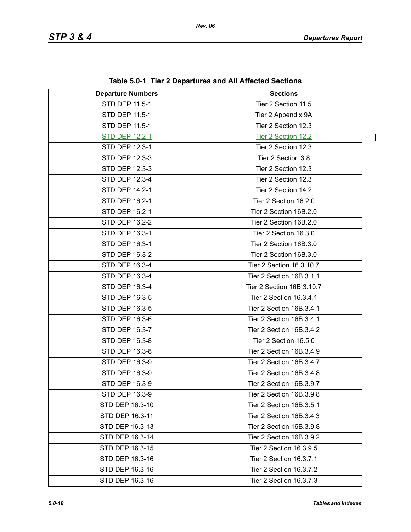$\mathbf I$ 

| <b>Departure Numbers</b> | <b>Sections</b>           |
|--------------------------|---------------------------|
| <b>STD DEP 11.5-1</b>    | Tier 2 Section 11.5       |
| STD DEP 11.5-1           | Tier 2 Appendix 9A        |
| STD DEP 11.5-1           | Tier 2 Section 12.3       |
| <b>STD DEP 12.2-1</b>    | Tier 2 Section 12.2       |
| STD DEP 12.3-1           | Tier 2 Section 12.3       |
| STD DEP 12.3-3           | Tier 2 Section 3.8        |
| STD DEP 12.3-3           | Tier 2 Section 12.3       |
| STD DEP 12.3-4           | Tier 2 Section 12.3       |
| STD DEP 14.2-1           | Tier 2 Section 14.2       |
| STD DEP 16.2-1           | Tier 2 Section 16.2.0     |
| STD DEP 16.2-1           | Tier 2 Section 16B.2.0    |
| STD DEP 16.2-2           | Tier 2 Section 16B.2.0    |
| STD DEP 16.3-1           | Tier 2 Section 16.3.0     |
| STD DEP 16.3-1           | Tier 2 Section 16B.3.0    |
| STD DEP 16.3-2           | Tier 2 Section 16B.3.0    |
| STD DEP 16.3-4           | Tier 2 Section 16.3.10.7  |
| STD DEP 16.3-4           | Tier 2 Section 16B.3.1.1  |
| STD DEP 16.3-4           | Tier 2 Section 16B.3.10.7 |
| STD DEP 16.3-5           | Tier 2 Section 16.3.4.1   |
| STD DEP 16.3-5           | Tier 2 Section 16B.3.4.1  |
| STD DEP 16.3-6           | Tier 2 Section 16B.3.4.1  |
| STD DEP 16.3-7           | Tier 2 Section 16B.3.4.2  |
| STD DEP 16.3-8           | Tier 2 Section 16.5.0     |
| STD DEP 16.3-8           | Tier 2 Section 16B.3.4.9  |
| STD DEP 16.3-9           | Tier 2 Section 16B.3.4.7  |
| STD DEP 16.3-9           | Tier 2 Section 16B.3.4.8  |
| STD DEP 16.3-9           | Tier 2 Section 16B.3.9.7  |
| STD DEP 16.3-9           | Tier 2 Section 16B.3.9.8  |
| STD DEP 16.3-10          | Tier 2 Section 16B.3.5.1  |
| STD DEP 16.3-11          | Tier 2 Section 16B.3.4.3  |
| STD DEP 16.3-13          | Tier 2 Section 16B.3.9.8  |
| STD DEP 16.3-14          | Tier 2 Section 16B.3.9.2  |
| STD DEP 16.3-15          | Tier 2 Section 16.3.9.5   |
| STD DEP 16.3-16          | Tier 2 Section 16.3.7.1   |
| STD DEP 16.3-16          | Tier 2 Section 16.3.7.2   |
| STD DEP 16.3-16          | Tier 2 Section 16.3.7.3   |

**Table 5.0-1 Tier 2 Departures and All Affected Sections**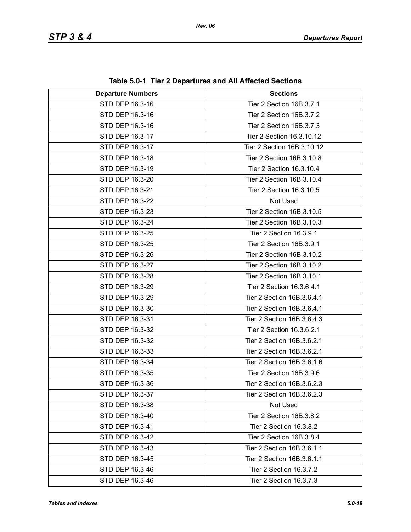| <b>Departure Numbers</b> | <b>Sections</b>            |
|--------------------------|----------------------------|
| STD DEP 16.3-16          | Tier 2 Section 16B.3.7.1   |
| STD DEP 16.3-16          | Tier 2 Section 16B.3.7.2   |
| STD DEP 16.3-16          | Tier 2 Section 16B.3.7.3   |
| STD DEP 16.3-17          | Tier 2 Section 16.3.10.12  |
| STD DEP 16.3-17          | Tier 2 Section 16B.3.10.12 |
| STD DEP 16.3-18          | Tier 2 Section 16B.3.10.8  |
| STD DEP 16.3-19          | Tier 2 Section 16.3.10.4   |
| STD DEP 16.3-20          | Tier 2 Section 16B.3.10.4  |
| STD DEP 16.3-21          | Tier 2 Section 16.3.10.5   |
| STD DEP 16.3-22          | Not Used                   |
| STD DEP 16.3-23          | Tier 2 Section 16B.3.10.5  |
| STD DEP 16.3-24          | Tier 2 Section 16B.3.10.3  |
| STD DEP 16.3-25          | Tier 2 Section 16.3.9.1    |
| STD DEP 16.3-25          | Tier 2 Section 16B.3.9.1   |
| STD DEP 16.3-26          | Tier 2 Section 16B.3.10.2  |
| STD DEP 16.3-27          | Tier 2 Section 16B.3.10.2  |
| STD DEP 16.3-28          | Tier 2 Section 16B.3.10.1  |
| STD DEP 16.3-29          | Tier 2 Section 16.3.6.4.1  |
| STD DEP 16.3-29          | Tier 2 Section 16B.3.6.4.1 |
| STD DEP 16.3-30          | Tier 2 Section 16B.3.6.4.1 |
| STD DEP 16.3-31          | Tier 2 Section 16B.3.6.4.3 |
| STD DEP 16.3-32          | Tier 2 Section 16.3.6.2.1  |
| STD DEP 16.3-32          | Tier 2 Section 16B.3.6.2.1 |
| STD DEP 16.3-33          | Tier 2 Section 16B.3.6.2.1 |
| STD DEP 16.3-34          | Tier 2 Section 16B.3.6.1.6 |
| STD DEP 16.3-35          | Tier 2 Section 16B.3.9.6   |
| STD DEP 16.3-36          | Tier 2 Section 16B.3.6.2.3 |
| STD DEP 16.3-37          | Tier 2 Section 16B.3.6.2.3 |
| STD DEP 16.3-38          | Not Used                   |
| STD DEP 16.3-40          | Tier 2 Section 16B.3.8.2   |
| STD DEP 16.3-41          | Tier 2 Section 16.3.8.2    |
| STD DEP 16.3-42          | Tier 2 Section 16B.3.8.4   |
| STD DEP 16.3-43          | Tier 2 Section 16B.3.6.1.1 |
| STD DEP 16.3-45          | Tier 2 Section 16B.3.6.1.1 |
| STD DEP 16.3-46          | Tier 2 Section 16.3.7.2    |
| STD DEP 16.3-46          | Tier 2 Section 16.3.7.3    |

**Table 5.0-1 Tier 2 Departures and All Affected Sections**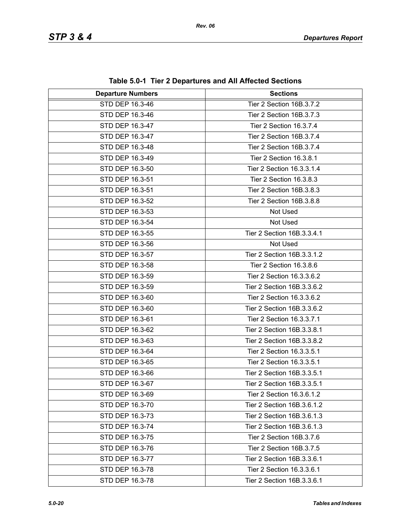| <b>Departure Numbers</b> | <b>Sections</b>            |
|--------------------------|----------------------------|
| STD DEP 16.3-46          | Tier 2 Section 16B.3.7.2   |
| STD DEP 16.3-46          | Tier 2 Section 16B.3.7.3   |
| STD DEP 16.3-47          | Tier 2 Section 16.3.7.4    |
| STD DEP 16.3-47          | Tier 2 Section 16B.3.7.4   |
| STD DEP 16.3-48          | Tier 2 Section 16B.3.7.4   |
| STD DEP 16.3-49          | Tier 2 Section 16.3.8.1    |
| STD DEP 16.3-50          | Tier 2 Section 16.3.3.1.4  |
| STD DEP 16.3-51          | Tier 2 Section 16.3.8.3    |
| STD DEP 16.3-51          | Tier 2 Section 16B.3.8.3   |
| STD DEP 16.3-52          | Tier 2 Section 16B.3.8.8   |
| STD DEP 16.3-53          | Not Used                   |
| STD DEP 16.3-54          | Not Used                   |
| STD DEP 16.3-55          | Tier 2 Section 16B.3.3.4.1 |
| STD DEP 16.3-56          | Not Used                   |
| STD DEP 16.3-57          | Tier 2 Section 16B.3.3.1.2 |
| STD DEP 16.3-58          | Tier 2 Section 16.3.8.6    |
| STD DEP 16.3-59          | Tier 2 Section 16.3.3.6.2  |
| STD DEP 16.3-59          | Tier 2 Section 16B.3.3.6.2 |
| STD DEP 16.3-60          | Tier 2 Section 16.3.3.6.2  |
| STD DEP 16.3-60          | Tier 2 Section 16B.3.3.6.2 |
| STD DEP 16.3-61          | Tier 2 Section 16.3.3.7.1  |
| STD DEP 16.3-62          | Tier 2 Section 16B.3.3.8.1 |
| STD DEP 16.3-63          | Tier 2 Section 16B.3.3.8.2 |
| STD DEP 16.3-64          | Tier 2 Section 16.3.3.5.1  |
| STD DEP 16.3-65          | Tier 2 Section 16.3.3.5.1  |
| STD DEP 16.3-66          | Tier 2 Section 16B.3.3.5.1 |
| STD DEP 16.3-67          | Tier 2 Section 16B.3.3.5.1 |
| STD DEP 16.3-69          | Tier 2 Section 16.3.6.1.2  |
| STD DEP 16.3-70          | Tier 2 Section 16B.3.6.1.2 |
| STD DEP 16.3-73          | Tier 2 Section 16B.3.6.1.3 |
| STD DEP 16.3-74          | Tier 2 Section 16B.3.6.1.3 |
| STD DEP 16.3-75          | Tier 2 Section 16B.3.7.6   |
| STD DEP 16.3-76          | Tier 2 Section 16B.3.7.5   |
| STD DEP 16.3-77          | Tier 2 Section 16B.3.3.6.1 |
| STD DEP 16.3-78          | Tier 2 Section 16.3.3.6.1  |
| STD DEP 16.3-78          | Tier 2 Section 16B.3.3.6.1 |

**Table 5.0-1 Tier 2 Departures and All Affected Sections**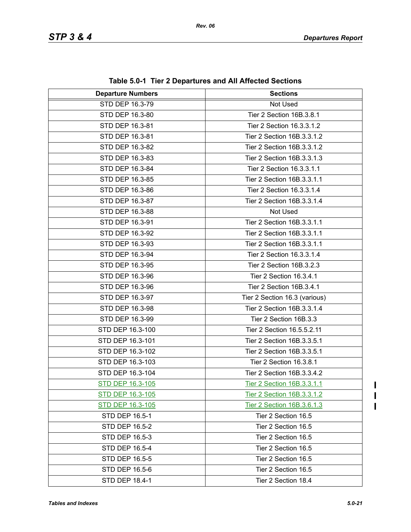| <b>Departure Numbers</b> | $1800$ vive $1101$ $\leq$ Departates and All Allegiea Occupits<br><b>Sections</b> |
|--------------------------|-----------------------------------------------------------------------------------|
| STD DEP 16.3-79          | Not Used                                                                          |
| STD DEP 16.3-80          | Tier 2 Section 16B.3.8.1                                                          |
| STD DEP 16.3-81          | Tier 2 Section 16.3.3.1.2                                                         |
| STD DEP 16.3-81          | Tier 2 Section 16B.3.3.1.2                                                        |
| STD DEP 16.3-82          | Tier 2 Section 16B.3.3.1.2                                                        |
| STD DEP 16.3-83          | Tier 2 Section 16B.3.3.1.3                                                        |
| STD DEP 16.3-84          | Tier 2 Section 16.3.3.1.1                                                         |
| STD DEP 16.3-85          | Tier 2 Section 16B.3.3.1.1                                                        |
| STD DEP 16.3-86          | Tier 2 Section 16.3.3.1.4                                                         |
| STD DEP 16.3-87          | Tier 2 Section 16B.3.3.1.4                                                        |
| STD DEP 16.3-88          | Not Used                                                                          |
| STD DEP 16.3-91          | Tier 2 Section 16B.3.3.1.1                                                        |
| STD DEP 16.3-92          | Tier 2 Section 16B.3.3.1.1                                                        |
| STD DEP 16.3-93          | Tier 2 Section 16B.3.3.1.1                                                        |
| STD DEP 16.3-94          | Tier 2 Section 16.3.3.1.4                                                         |
| STD DEP 16.3-95          | Tier 2 Section 16B.3.2.3                                                          |
| STD DEP 16.3-96          | Tier 2 Section 16.3.4.1                                                           |
| STD DEP 16.3-96          | Tier 2 Section 16B.3.4.1                                                          |
| STD DEP 16.3-97          | Tier 2 Section 16.3 (various)                                                     |
| STD DEP 16.3-98          | Tier 2 Section 16B.3.3.1.4                                                        |
| STD DEP 16.3-99          | Tier 2 Section 16B.3.3                                                            |
| STD DEP 16.3-100         | Tier 2 Section 16.5.5.2.11                                                        |
| STD DEP 16.3-101         | Tier 2 Section 16B.3.3.5.1                                                        |
| STD DEP 16.3-102         | Tier 2 Section 16B.3.3.5.1                                                        |
| STD DEP 16.3-103         | Tier 2 Section 16.3.8.1                                                           |
| STD DEP 16.3-104         | Tier 2 Section 16B.3.3.4.2                                                        |
| STD DEP 16.3-105         | Tier 2 Section 16B.3.3.1.1                                                        |
| STD DEP 16.3-105         | Tier 2 Section 16B.3.3.1.2                                                        |
| STD DEP 16.3-105         | Tier 2 Section 16B.3.6.1.3                                                        |
| STD DEP 16.5-1           | Tier 2 Section 16.5                                                               |
| STD DEP 16.5-2           | Tier 2 Section 16.5                                                               |
| STD DEP 16.5-3           | Tier 2 Section 16.5                                                               |
| STD DEP 16.5-4           | Tier 2 Section 16.5                                                               |
| <b>STD DEP 16.5-5</b>    | Tier 2 Section 16.5                                                               |
| STD DEP 16.5-6           | Tier 2 Section 16.5                                                               |
| STD DEP 18.4-1           | Tier 2 Section 18.4                                                               |

**Table 5.0-1 Tier 2 Departures and All Affected Sections**

 $\mathbf{I}$  $\mathbf I$  $\blacksquare$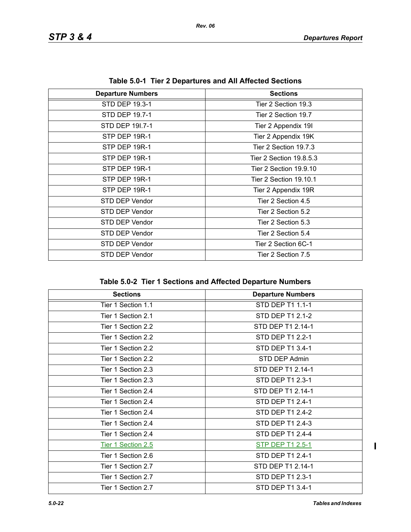| <b>Departure Numbers</b> | <b>Sections</b>               |  |
|--------------------------|-------------------------------|--|
| STD DEP 19.3-1           | Tier 2 Section 19.3           |  |
| STD DEP 19.7-1           | Tier 2 Section 19.7           |  |
| STD DEP 191.7-1          | Tier 2 Appendix 19I           |  |
| STP DEP 19R-1            | Tier 2 Appendix 19K           |  |
| STP DEP 19R-1            | Tier 2 Section 19.7.3         |  |
| STP DEP 19R-1            | Tier 2 Section 19.8.5.3       |  |
| STP DEP 19R-1            | Tier 2 Section 19.9.10        |  |
| STP DEP 19R-1            | <b>Tier 2 Section 19.10.1</b> |  |
| STP DEP 19R-1            | Tier 2 Appendix 19R           |  |
| STD DEP Vendor           | Tier 2 Section 4.5            |  |
| STD DEP Vendor           | Tier 2 Section 5.2            |  |
| STD DEP Vendor           | Tier 2 Section 5.3            |  |
| STD DEP Vendor           | Tier 2 Section 5.4            |  |
| STD DEP Vendor           | Tier 2 Section 6C-1           |  |
| STD DEP Vendor           | Tier 2 Section 7.5            |  |

**Table 5.0-1 Tier 2 Departures and All Affected Sections**

|  |  | Table 5.0-2 Tier 1 Sections and Affected Departure Numbers |
|--|--|------------------------------------------------------------|
|--|--|------------------------------------------------------------|

| <b>Sections</b>    | <b>Departure Numbers</b> |
|--------------------|--------------------------|
| Tier 1 Section 1.1 | STD DEP T1 1.1-1         |
| Tier 1 Section 2.1 | STD DEP T1 2.1-2         |
| Tier 1 Section 2.2 | STD DEP T1 2.14-1        |
| Tier 1 Section 2.2 | STD DEP T1 2.2-1         |
| Tier 1 Section 2.2 | STD DEP T1 3.4-1         |
| Tier 1 Section 2.2 | STD DEP Admin            |
| Tier 1 Section 2.3 | STD DEP T1 2.14-1        |
| Tier 1 Section 2.3 | STD DEP T1 2.3-1         |
| Tier 1 Section 2.4 | STD DEP T1 2.14-1        |
| Tier 1 Section 2.4 | STD DEP T1 2.4-1         |
| Tier 1 Section 2.4 | STD DEP T1 2.4-2         |
| Tier 1 Section 2.4 | STD DEP T1 2.4-3         |
| Tier 1 Section 2.4 | STD DEP T1 2.4-4         |
| Tier 1 Section 2.5 | <b>STP DEP T1 2.5-1</b>  |
| Tier 1 Section 2.6 | STD DEP T1 2.4-1         |
| Tier 1 Section 2.7 | STD DEP T1 2.14-1        |
| Tier 1 Section 2.7 | STD DEP T1 2.3-1         |
| Tier 1 Section 2.7 | STD DEP T1 3.4-1         |

 $\begin{array}{c} \hline \end{array}$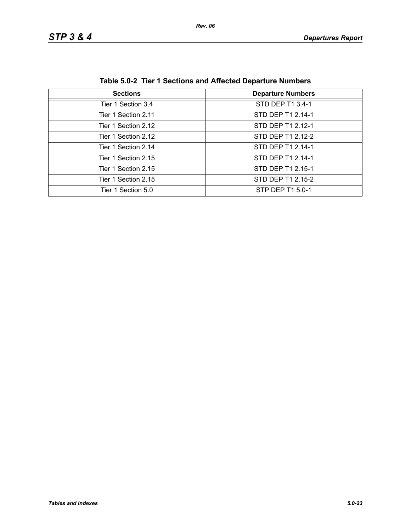## *STP 3 & 4 Departures Report*

| <b>Sections</b>     | <b>Departure Numbers</b> |
|---------------------|--------------------------|
| Tier 1 Section 3.4  | STD DEP T1 3.4-1         |
| Tier 1 Section 2.11 | STD DEP T1 2.14-1        |
| Tier 1 Section 2.12 | STD DEP T1 2.12-1        |
| Tier 1 Section 2.12 | STD DEP T1 2.12-2        |
| Tier 1 Section 2.14 | STD DEP T1 2.14-1        |
| Tier 1 Section 2.15 | STD DEP T1 2.14-1        |
| Tier 1 Section 2.15 | STD DEP T1 2.15-1        |
| Tier 1 Section 2.15 | STD DEP T1 2.15-2        |
| Tier 1 Section 5.0  | STP DEP T1 5.0-1         |

**Table 5.0-2 Tier 1 Sections and Affected Departure Numbers**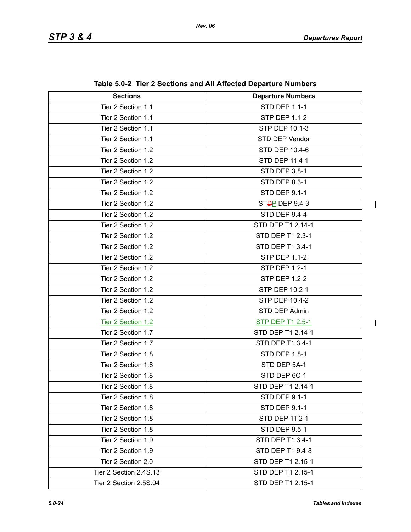$\begin{array}{c} \hline \end{array}$ 

| <b>Sections</b>                         | <b>Departure Numbers</b>    |  |
|-----------------------------------------|-----------------------------|--|
| Tier 2 Section 1.1                      | <b>STD DEP 1.1-1</b>        |  |
| Tier 2 Section 1.1                      | <b>STP DEP 1.1-2</b>        |  |
| Tier 2 Section 1.1                      | <b>STP DEP 10.1-3</b>       |  |
| Tier 2 Section 1.1                      | STD DEP Vendor              |  |
| Tier 2 Section 1.2                      | STD DEP 10.4-6              |  |
| Tier 2 Section 1.2                      | <b>STD DEP 11.4-1</b>       |  |
| Tier 2 Section 1.2                      | STD DEP 3.8-1               |  |
| Tier 2 Section 1.2                      | <b>STD DEP 8.3-1</b>        |  |
| Tier 2 Section 1.2                      | <b>STD DEP 9.1-1</b>        |  |
| Tier 2 Section 1.2                      | ST <sub>D</sub> P DEP 9.4-3 |  |
| Tier 2 Section 1.2                      | <b>STD DEP 9.4-4</b>        |  |
| Tier 2 Section 1.2                      | STD DEP T1 2.14-1           |  |
| Tier 2 Section 1.2                      | STD DEP T1 2.3-1            |  |
| Tier 2 Section 1.2                      | STD DEP T1 3.4-1            |  |
| Tier 2 Section 1.2                      | <b>STP DEP 1.1-2</b>        |  |
| Tier 2 Section 1.2                      | <b>STP DEP 1.2-1</b>        |  |
| Tier 2 Section 1.2                      | <b>STP DEP 1.2-2</b>        |  |
| Tier 2 Section 1.2                      | STP DEP 10.2-1              |  |
| Tier 2 Section 1.2                      | STP DEP 10.4-2              |  |
| Tier 2 Section 1.2                      | STD DEP Admin               |  |
| Tier 2 Section 1.2                      | <b>STP DEP T1 2.5-1</b>     |  |
| Tier 2 Section 1.7                      | STD DEP T1 2.14-1           |  |
| Tier 2 Section 1.7                      | STD DEP T1 3.4-1            |  |
| Tier 2 Section 1.8                      | <b>STD DEP 1.8-1</b>        |  |
| Tier 2 Section 1.8                      | STD DEP 5A-1                |  |
| Tier 2 Section 1.8                      | STD DEP 6C-1                |  |
| Tier 2 Section 1.8                      | STD DEP T1 2.14-1           |  |
| Tier 2 Section 1.8                      | STD DEP 9.1-1               |  |
| Tier 2 Section 1.8                      | <b>STD DEP 9.1-1</b>        |  |
| Tier 2 Section 1.8                      | STD DEP 11.2-1              |  |
| Tier 2 Section 1.8                      | <b>STD DEP 9.5-1</b>        |  |
| Tier 2 Section 1.9                      | STD DEP T1 3.4-1            |  |
| Tier 2 Section 1.9                      | STD DEP T1 9.4-8            |  |
| Tier 2 Section 2.0<br>STD DEP T1 2.15-1 |                             |  |
| Tier 2 Section 2.4S.13                  | STD DEP T1 2.15-1           |  |
| Tier 2 Section 2.5S.04                  | STD DEP T1 2.15-1           |  |

| Table 5.0-2 Tier 2 Sections and All Affected Departure Numbers |  |  |  |  |
|----------------------------------------------------------------|--|--|--|--|
|----------------------------------------------------------------|--|--|--|--|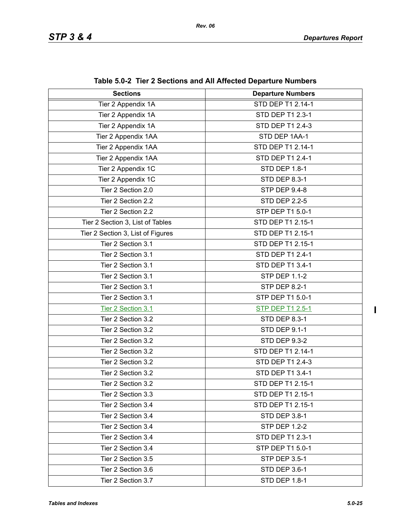| <b>Sections</b>                            | <b>Departure Numbers</b> |  |
|--------------------------------------------|--------------------------|--|
| Tier 2 Appendix 1A                         | STD DEP T1 2.14-1        |  |
| Tier 2 Appendix 1A                         | STD DEP T1 2.3-1         |  |
| Tier 2 Appendix 1A                         | STD DEP T1 2.4-3         |  |
| Tier 2 Appendix 1AA                        | STD DEP 1AA-1            |  |
| Tier 2 Appendix 1AA                        | STD DEP T1 2.14-1        |  |
| Tier 2 Appendix 1AA                        | STD DEP T1 2.4-1         |  |
| Tier 2 Appendix 1C                         | <b>STD DEP 1.8-1</b>     |  |
| Tier 2 Appendix 1C                         | STD DEP 8.3-1            |  |
| Tier 2 Section 2.0                         | <b>STP DEP 9.4-8</b>     |  |
| Tier 2 Section 2.2                         | <b>STD DEP 2.2-5</b>     |  |
| Tier 2 Section 2.2                         | STP DEP T1 5.0-1         |  |
| Tier 2 Section 3, List of Tables           | STD DEP T1 2.15-1        |  |
| Tier 2 Section 3, List of Figures          | STD DEP T1 2.15-1        |  |
| Tier 2 Section 3.1                         | STD DEP T1 2.15-1        |  |
| Tier 2 Section 3.1                         | STD DEP T1 2.4-1         |  |
| Tier 2 Section 3.1                         | STD DEP T1 3.4-1         |  |
| Tier 2 Section 3.1                         | <b>STP DEP 1.1-2</b>     |  |
| Tier 2 Section 3.1                         | <b>STP DEP 8.2-1</b>     |  |
| Tier 2 Section 3.1                         | STP DEP T1 5.0-1         |  |
| Tier 2 Section 3.1                         | <b>STP DEP T1 2.5-1</b>  |  |
| Tier 2 Section 3.2                         | STD DEP 8.3-1            |  |
| Tier 2 Section 3.2                         | <b>STD DEP 9.1-1</b>     |  |
| Tier 2 Section 3.2                         | <b>STD DEP 9.3-2</b>     |  |
| Tier 2 Section 3.2                         | STD DEP T1 2.14-1        |  |
| Tier 2 Section 3.2                         | STD DEP T1 2.4-3         |  |
| Tier 2 Section 3.2                         | STD DEP T1 3.4-1         |  |
| Tier 2 Section 3.2                         | STD DEP T1 2.15-1        |  |
| Tier 2 Section 3.3                         | STD DEP T1 2.15-1        |  |
| Tier 2 Section 3.4                         | STD DEP T1 2.15-1        |  |
| Tier 2 Section 3.4                         | STD DEP 3.8-1            |  |
| Tier 2 Section 3.4                         | <b>STP DEP 1.2-2</b>     |  |
| Tier 2 Section 3.4                         | STD DEP T1 2.3-1         |  |
| Tier 2 Section 3.4                         | STP DEP T1 5.0-1         |  |
| Tier 2 Section 3.5<br><b>STP DEP 3.5-1</b> |                          |  |
| Tier 2 Section 3.6<br>STD DEP 3.6-1        |                          |  |
| Tier 2 Section 3.7                         | <b>STD DEP 1.8-1</b>     |  |

**Table 5.0-2 Tier 2 Sections and All Affected Departure Numbers**

*Rev. 06*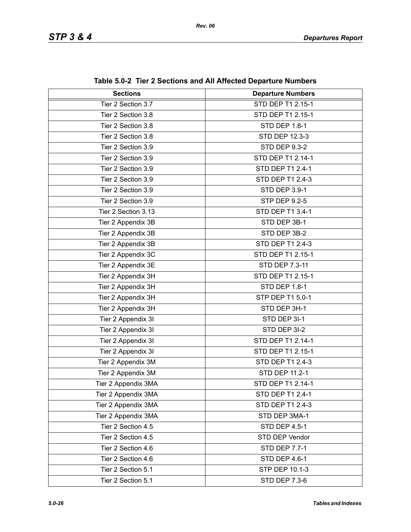| <b>Sections</b>     | <b>Departure Numbers</b> |  |
|---------------------|--------------------------|--|
| Tier 2 Section 3.7  | <b>STD DEP T1 2.15-1</b> |  |
|                     |                          |  |
| Tier 2 Section 3.8  | STD DEP T1 2.15-1        |  |
| Tier 2 Section 3.8  | <b>STD DEP 1.8-1</b>     |  |
| Tier 2 Section 3.8  | STD DEP 12.3-3           |  |
| Tier 2 Section 3.9  | <b>STD DEP 9.3-2</b>     |  |
| Tier 2 Section 3.9  | STD DEP T1 2.14-1        |  |
| Tier 2 Section 3.9  | STD DEP T1 2.4-1         |  |
| Tier 2 Section 3.9  | STD DEP T1 2.4-3         |  |
| Tier 2 Section 3.9  | STD DEP 3.9-1            |  |
| Tier 2 Section 3.9  | <b>STP DEP 9.2-5</b>     |  |
| Tier 2 Section 3.13 | STD DEP T1 3.4-1         |  |
| Tier 2 Appendix 3B  | STD DEP 3B-1             |  |
| Tier 2 Appendix 3B  | STD DEP 3B-2             |  |
| Tier 2 Appendix 3B  | STD DEP T1 2.4-3         |  |
| Tier 2 Appendix 3C  | STD DEP T1 2.15-1        |  |
| Tier 2 Appendix 3E  | STD DEP 7.3-11           |  |
| Tier 2 Appendix 3H  | STD DEP T1 2.15-1        |  |
| Tier 2 Appendix 3H  | STD DEP 1.8-1            |  |
| Tier 2 Appendix 3H  | STP DEP T1 5.0-1         |  |
| Tier 2 Appendix 3H  | STD DEP 3H-1             |  |
| Tier 2 Appendix 3I  | STD DEP 3I-1             |  |
| Tier 2 Appendix 3I  | STD DEP 3I-2             |  |
| Tier 2 Appendix 3I  | STD DEP T1 2.14-1        |  |
| Tier 2 Appendix 3I  | STD DEP T1 2.15-1        |  |
| Tier 2 Appendix 3M  | STD DEP T1 2.4-3         |  |
| Tier 2 Appendix 3M  | STD DEP 11.2-1           |  |
| Tier 2 Appendix 3MA | STD DEP T1 2.14-1        |  |
| Tier 2 Appendix 3MA | STD DEP T1 2.4-1         |  |
| Tier 2 Appendix 3MA | STD DEP T1 2.4-3         |  |
| Tier 2 Appendix 3MA | STD DEP 3MA-1            |  |
| Tier 2 Section 4.5  | <b>STD DEP 4.5-1</b>     |  |
| Tier 2 Section 4.5  | STD DEP Vendor           |  |
| Tier 2 Section 4.6  | <b>STD DEP 7.7-1</b>     |  |
| Tier 2 Section 4.6  | STD DEP 4.6-1            |  |
| Tier 2 Section 5.1  | STP DEP 10.1-3           |  |
| Tier 2 Section 5.1  | <b>STD DEP 7.3-6</b>     |  |

| Table 5.0-2 Tier 2 Sections and All Affected Departure Numbers |  |
|----------------------------------------------------------------|--|
|----------------------------------------------------------------|--|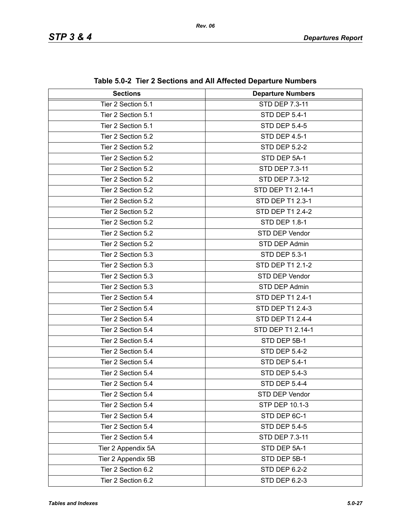| <b>Sections</b>    | <b>Departure Numbers</b> |  |
|--------------------|--------------------------|--|
| Tier 2 Section 5.1 | STD DEP 7.3-11           |  |
| Tier 2 Section 5.1 | <b>STD DEP 5.4-1</b>     |  |
| Tier 2 Section 5.1 | <b>STD DEP 5.4-5</b>     |  |
| Tier 2 Section 5.2 | <b>STD DEP 4.5-1</b>     |  |
| Tier 2 Section 5.2 | <b>STD DEP 5.2-2</b>     |  |
| Tier 2 Section 5.2 | STD DEP 5A-1             |  |
| Tier 2 Section 5.2 | STD DEP 7.3-11           |  |
| Tier 2 Section 5.2 | STD DEP 7.3-12           |  |
| Tier 2 Section 5.2 | STD DEP T1 2.14-1        |  |
| Tier 2 Section 5.2 | STD DEP T1 2.3-1         |  |
| Tier 2 Section 5.2 | STD DEP T1 2.4-2         |  |
| Tier 2 Section 5.2 | STD DEP 1.8-1            |  |
| Tier 2 Section 5.2 | STD DEP Vendor           |  |
| Tier 2 Section 5.2 | STD DEP Admin            |  |
| Tier 2 Section 5.3 | <b>STD DEP 5.3-1</b>     |  |
| Tier 2 Section 5.3 | STD DEP T1 2.1-2         |  |
| Tier 2 Section 5.3 | STD DEP Vendor           |  |
| Tier 2 Section 5.3 | STD DEP Admin            |  |
| Tier 2 Section 5.4 | STD DEP T1 2.4-1         |  |
| Tier 2 Section 5.4 | STD DEP T1 2.4-3         |  |
| Tier 2 Section 5.4 | STD DEP T1 2.4-4         |  |
| Tier 2 Section 5.4 | STD DEP T1 2.14-1        |  |
| Tier 2 Section 5.4 | STD DEP 5B-1             |  |
| Tier 2 Section 5.4 | <b>STD DEP 5.4-2</b>     |  |
| Tier 2 Section 5.4 | <b>STD DEP 5.4-1</b>     |  |
| Tier 2 Section 5.4 | <b>STD DEP 5.4-3</b>     |  |
| Tier 2 Section 5.4 | <b>STD DEP 5.4-4</b>     |  |
| Tier 2 Section 5.4 | STD DEP Vendor           |  |
| Tier 2 Section 5.4 | STP DEP 10.1-3           |  |
| Tier 2 Section 5.4 | STD DEP 6C-1             |  |
| Tier 2 Section 5.4 | <b>STD DEP 5.4-5</b>     |  |
| Tier 2 Section 5.4 | STD DEP 7.3-11           |  |
| Tier 2 Appendix 5A | STD DEP 5A-1             |  |
| Tier 2 Appendix 5B | STD DEP 5B-1             |  |
| Tier 2 Section 6.2 | <b>STD DEP 6.2-2</b>     |  |
| Tier 2 Section 6.2 | STD DEP 6.2-3            |  |

|  | Table 5.0-2 Tier 2 Sections and All Affected Departure Numbers |  |  |  |
|--|----------------------------------------------------------------|--|--|--|
|--|----------------------------------------------------------------|--|--|--|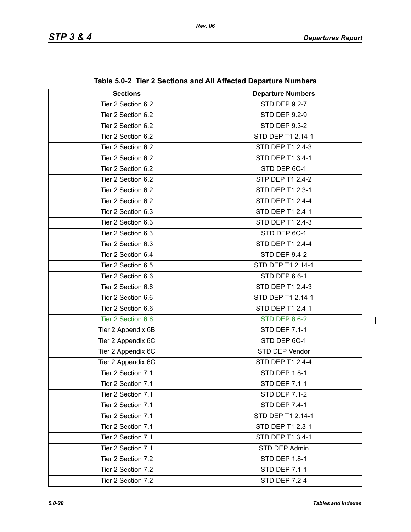| <b>Sections</b>    | <b>U.U.L. TICK &amp; OCCUPITY AND AN ANCOLOGY DUPATRIC NAMIDS IS</b><br><b>Departure Numbers</b> |  |
|--------------------|--------------------------------------------------------------------------------------------------|--|
| Tier 2 Section 6.2 | <b>STD DEP 9.2-7</b>                                                                             |  |
| Tier 2 Section 6.2 | <b>STD DEP 9.2-9</b>                                                                             |  |
| Tier 2 Section 6.2 | <b>STD DEP 9.3-2</b>                                                                             |  |
| Tier 2 Section 6.2 | STD DEP T1 2.14-1                                                                                |  |
| Tier 2 Section 6.2 | STD DEP T1 2.4-3                                                                                 |  |
| Tier 2 Section 6.2 | STD DEP T1 3.4-1                                                                                 |  |
| Tier 2 Section 6.2 | STD DEP 6C-1                                                                                     |  |
| Tier 2 Section 6.2 | STP DEP T1 2.4-2                                                                                 |  |
| Tier 2 Section 6.2 | STD DEP T1 2.3-1                                                                                 |  |
| Tier 2 Section 6.2 | <b>STD DEP T1 2.4-4</b>                                                                          |  |
| Tier 2 Section 6.3 | STD DEP T1 2.4-1                                                                                 |  |
| Tier 2 Section 6.3 | STD DEP T1 2.4-3                                                                                 |  |
| Tier 2 Section 6.3 | STD DEP 6C-1                                                                                     |  |
| Tier 2 Section 6.3 | STD DEP T1 2.4-4                                                                                 |  |
| Tier 2 Section 6.4 | <b>STD DEP 9.4-2</b>                                                                             |  |
| Tier 2 Section 6.5 | STD DEP T1 2.14-1                                                                                |  |
| Tier 2 Section 6.6 | STD DEP 6.6-1                                                                                    |  |
| Tier 2 Section 6.6 | STD DEP T1 2.4-3                                                                                 |  |
| Tier 2 Section 6.6 | STD DEP T1 2.14-1                                                                                |  |
| Tier 2 Section 6.6 | STD DEP T1 2.4-1                                                                                 |  |
| Tier 2 Section 6.6 | <b>STD DEP 6.6-2</b>                                                                             |  |
| Tier 2 Appendix 6B | <b>STD DEP 7.1-1</b>                                                                             |  |
| Tier 2 Appendix 6C | STD DEP 6C-1                                                                                     |  |
| Tier 2 Appendix 6C | STD DEP Vendor                                                                                   |  |
| Tier 2 Appendix 6C | STD DEP T1 2.4-4                                                                                 |  |
| Tier 2 Section 7.1 | STD DEP 1.8-1                                                                                    |  |
| Tier 2 Section 7.1 | STD DEP 7.1-1                                                                                    |  |
| Tier 2 Section 7.1 | <b>STD DEP 7.1-2</b>                                                                             |  |
| Tier 2 Section 7.1 | <b>STD DEP 7.4-1</b>                                                                             |  |
| Tier 2 Section 7.1 | STD DEP T1 2.14-1                                                                                |  |
| Tier 2 Section 7.1 | STD DEP T1 2.3-1                                                                                 |  |
| Tier 2 Section 7.1 | STD DEP T1 3.4-1                                                                                 |  |
| Tier 2 Section 7.1 | STD DEP Admin                                                                                    |  |
| Tier 2 Section 7.2 | STD DEP 1.8-1                                                                                    |  |
| Tier 2 Section 7.2 | <b>STD DEP 7.1-1</b>                                                                             |  |
| Tier 2 Section 7.2 | <b>STD DEP 7.2-4</b>                                                                             |  |

**Table 5.0-2 Tier 2 Sections and All Affected Departure Numbers**

 $\overline{\mathbf{I}}$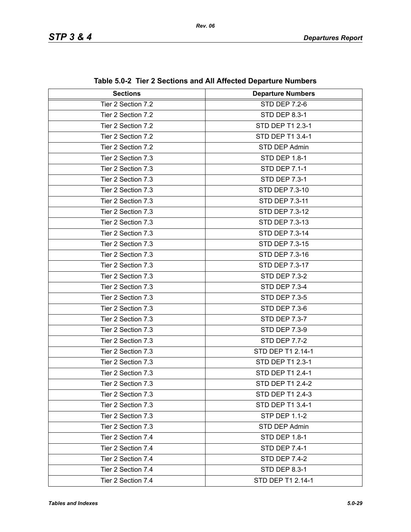| <b>Sections</b>    | $10.002$ and $2000000$ and $7000000$ bopardice individual<br><b>Departure Numbers</b> |  |
|--------------------|---------------------------------------------------------------------------------------|--|
| Tier 2 Section 7.2 | <b>STD DEP 7.2-6</b>                                                                  |  |
| Tier 2 Section 7.2 | <b>STD DEP 8.3-1</b>                                                                  |  |
| Tier 2 Section 7.2 | STD DEP T1 2.3-1                                                                      |  |
| Tier 2 Section 7.2 | STD DEP T1 3.4-1                                                                      |  |
| Tier 2 Section 7.2 | STD DEP Admin                                                                         |  |
| Tier 2 Section 7.3 | STD DEP 1.8-1                                                                         |  |
| Tier 2 Section 7.3 | STD DEP 7.1-1                                                                         |  |
| Tier 2 Section 7.3 | <b>STD DEP 7.3-1</b>                                                                  |  |
| Tier 2 Section 7.3 | STD DEP 7.3-10                                                                        |  |
| Tier 2 Section 7.3 | STD DEP 7.3-11                                                                        |  |
| Tier 2 Section 7.3 | STD DEP 7.3-12                                                                        |  |
| Tier 2 Section 7.3 | <b>STD DEP 7.3-13</b>                                                                 |  |
| Tier 2 Section 7.3 | STD DEP 7.3-14                                                                        |  |
| Tier 2 Section 7.3 | STD DEP 7.3-15                                                                        |  |
| Tier 2 Section 7.3 | STD DEP 7.3-16                                                                        |  |
| Tier 2 Section 7.3 | STD DEP 7.3-17                                                                        |  |
| Tier 2 Section 7.3 | <b>STD DEP 7.3-2</b>                                                                  |  |
| Tier 2 Section 7.3 | STD DEP 7.3-4                                                                         |  |
| Tier 2 Section 7.3 | <b>STD DEP 7.3-5</b>                                                                  |  |
| Tier 2 Section 7.3 | <b>STD DEP 7.3-6</b>                                                                  |  |
| Tier 2 Section 7.3 | <b>STD DEP 7.3-7</b>                                                                  |  |
| Tier 2 Section 7.3 | <b>STD DEP 7.3-9</b>                                                                  |  |
| Tier 2 Section 7.3 | <b>STD DEP 7.7-2</b>                                                                  |  |
| Tier 2 Section 7.3 | STD DEP T1 2.14-1                                                                     |  |
| Tier 2 Section 7.3 | STD DEP T1 2.3-1                                                                      |  |
| Tier 2 Section 7.3 | STD DEP T1 2.4-1                                                                      |  |
| Tier 2 Section 7.3 | STD DEP T1 2.4-2                                                                      |  |
| Tier 2 Section 7.3 | STD DEP T1 2.4-3                                                                      |  |
| Tier 2 Section 7.3 | STD DEP T1 3.4-1                                                                      |  |
| Tier 2 Section 7.3 | <b>STP DEP 1.1-2</b>                                                                  |  |
| Tier 2 Section 7.3 | STD DEP Admin                                                                         |  |
| Tier 2 Section 7.4 | <b>STD DEP 1.8-1</b>                                                                  |  |
| Tier 2 Section 7.4 | <b>STD DEP 7.4-1</b>                                                                  |  |
| Tier 2 Section 7.4 | STD DEP 7.4-2                                                                         |  |
| Tier 2 Section 7.4 | STD DEP 8.3-1                                                                         |  |
| Tier 2 Section 7.4 | STD DEP T1 2.14-1                                                                     |  |

**Table 5.0-2 Tier 2 Sections and All Affected Departure Numbers**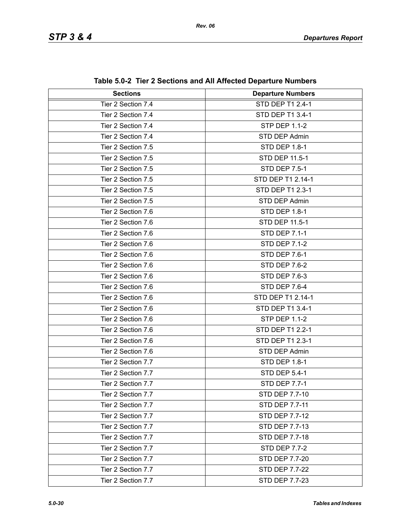| <b>Sections</b>    | <b>Departure Numbers</b> |
|--------------------|--------------------------|
| Tier 2 Section 7.4 | STD DEP T1 2.4-1         |
| Tier 2 Section 7.4 | STD DEP T1 3.4-1         |
| Tier 2 Section 7.4 | <b>STP DEP 1.1-2</b>     |
| Tier 2 Section 7.4 | STD DEP Admin            |
| Tier 2 Section 7.5 | <b>STD DEP 1.8-1</b>     |
| Tier 2 Section 7.5 | STD DEP 11.5-1           |
| Tier 2 Section 7.5 | <b>STD DEP 7.5-1</b>     |
| Tier 2 Section 7.5 | STD DEP T1 2.14-1        |
| Tier 2 Section 7.5 | STD DEP T1 2.3-1         |
| Tier 2 Section 7.5 | STD DEP Admin            |
| Tier 2 Section 7.6 | <b>STD DEP 1.8-1</b>     |
| Tier 2 Section 7.6 | STD DEP 11.5-1           |
| Tier 2 Section 7.6 | <b>STD DEP 7.1-1</b>     |
| Tier 2 Section 7.6 | <b>STD DEP 7.1-2</b>     |
| Tier 2 Section 7.6 | <b>STD DEP 7.6-1</b>     |
| Tier 2 Section 7.6 | <b>STD DEP 7.6-2</b>     |
| Tier 2 Section 7.6 | <b>STD DEP 7.6-3</b>     |
| Tier 2 Section 7.6 | STD DEP 7.6-4            |
| Tier 2 Section 7.6 | STD DEP T1 2.14-1        |
| Tier 2 Section 7.6 | STD DEP T1 3.4-1         |
| Tier 2 Section 7.6 | <b>STP DEP 1.1-2</b>     |
| Tier 2 Section 7.6 | STD DEP T1 2.2-1         |
| Tier 2 Section 7.6 | STD DEP T1 2.3-1         |
| Tier 2 Section 7.6 | STD DEP Admin            |
| Tier 2 Section 7.7 | <b>STD DEP 1.8-1</b>     |
| Tier 2 Section 7.7 | <b>STD DEP 5.4-1</b>     |
| Tier 2 Section 7.7 | STD DEP 7.7-1            |
| Tier 2 Section 7.7 | <b>STD DEP 7.7-10</b>    |
| Tier 2 Section 7.7 | STD DEP 7.7-11           |
| Tier 2 Section 7.7 | STD DEP 7.7-12           |
| Tier 2 Section 7.7 | STD DEP 7.7-13           |
| Tier 2 Section 7.7 | STD DEP 7.7-18           |
| Tier 2 Section 7.7 | <b>STD DEP 7.7-2</b>     |
| Tier 2 Section 7.7 | STD DEP 7.7-20           |
| Tier 2 Section 7.7 | STD DEP 7.7-22           |
| Tier 2 Section 7.7 | STD DEP 7.7-23           |

**Table 5.0-2 Tier 2 Sections and All Affected Departure Numbers**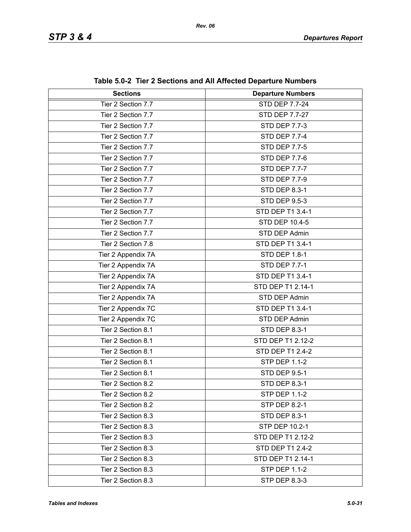| <b>Sections</b>    | <b>Departure Numbers</b> |
|--------------------|--------------------------|
| Tier 2 Section 7.7 | <b>STD DEP 7.7-24</b>    |
| Tier 2 Section 7.7 | <b>STD DEP 7.7-27</b>    |
| Tier 2 Section 7.7 | <b>STD DEP 7.7-3</b>     |
| Tier 2 Section 7.7 | <b>STD DEP 7.7-4</b>     |
| Tier 2 Section 7.7 | <b>STD DEP 7.7-5</b>     |
| Tier 2 Section 7.7 | <b>STD DEP 7.7-6</b>     |
| Tier 2 Section 7.7 | <b>STD DEP 7.7-7</b>     |
| Tier 2 Section 7.7 | <b>STD DEP 7.7-9</b>     |
| Tier 2 Section 7.7 | STD DEP 8.3-1            |
| Tier 2 Section 7.7 | <b>STD DEP 9.5-3</b>     |
| Tier 2 Section 7.7 | STD DEP T1 3.4-1         |
| Tier 2 Section 7.7 | STD DEP 10.4-5           |
| Tier 2 Section 7.7 | STD DEP Admin            |
| Tier 2 Section 7.8 | STD DEP T1 3.4-1         |
| Tier 2 Appendix 7A | STD DEP 1.8-1            |
| Tier 2 Appendix 7A | <b>STD DEP 7.7-1</b>     |
| Tier 2 Appendix 7A | STD DEP T1 3.4-1         |
| Tier 2 Appendix 7A | STD DEP T1 2.14-1        |
| Tier 2 Appendix 7A | STD DEP Admin            |
| Tier 2 Appendix 7C | STD DEP T1 3.4-1         |
| Tier 2 Appendix 7C | STD DEP Admin            |
| Tier 2 Section 8.1 | STD DEP 8.3-1            |
| Tier 2 Section 8.1 | STD DEP T1 2.12-2        |
| Tier 2 Section 8.1 | STD DEP T1 2.4-2         |
| Tier 2 Section 8.1 | <b>STP DEP 1.1-2</b>     |
| Tier 2 Section 8.1 | <b>STD DEP 9.5-1</b>     |
| Tier 2 Section 8.2 | STD DEP 8.3-1            |
| Tier 2 Section 8.2 | STP DEP 1.1-2            |
| Tier 2 Section 8.2 | <b>STP DEP 8.2-1</b>     |
| Tier 2 Section 8.3 | <b>STD DEP 8.3-1</b>     |
| Tier 2 Section 8.3 | STP DEP 10.2-1           |
| Tier 2 Section 8.3 | STD DEP T1 2.12-2        |
| Tier 2 Section 8.3 | STD DEP T1 2.4-2         |
| Tier 2 Section 8.3 | STD DEP T1 2.14-1        |
| Tier 2 Section 8.3 | <b>STP DEP 1.1-2</b>     |
| Tier 2 Section 8.3 | STP DEP 8.3-3            |

**Table 5.0-2 Tier 2 Sections and All Affected Departure Numbers**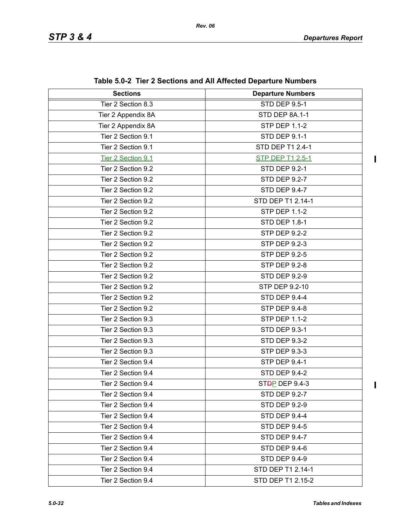$\mathbf I$ 

 $\blacksquare$ 

| <b>Sections</b>    | <b>Departure Numbers</b>    |
|--------------------|-----------------------------|
| Tier 2 Section 8.3 | <b>STD DEP 9.5-1</b>        |
| Tier 2 Appendix 8A | STD DEP 8A.1-1              |
| Tier 2 Appendix 8A | <b>STP DEP 1.1-2</b>        |
| Tier 2 Section 9.1 | <b>STD DEP 9.1-1</b>        |
| Tier 2 Section 9.1 | STD DEP T1 2.4-1            |
| Tier 2 Section 9.1 | <b>STP DEP T1 2.5-1</b>     |
| Tier 2 Section 9.2 | <b>STD DEP 9.2-1</b>        |
| Tier 2 Section 9.2 | <b>STD DEP 9.2-7</b>        |
| Tier 2 Section 9.2 | STD DEP 9.4-7               |
| Tier 2 Section 9.2 | STD DEP T1 2.14-1           |
| Tier 2 Section 9.2 | <b>STP DEP 1.1-2</b>        |
| Tier 2 Section 9.2 | STD DEP 1.8-1               |
| Tier 2 Section 9.2 | <b>STP DEP 9.2-2</b>        |
| Tier 2 Section 9.2 | <b>STP DEP 9.2-3</b>        |
| Tier 2 Section 9.2 | <b>STP DEP 9.2-5</b>        |
| Tier 2 Section 9.2 | <b>STP DEP 9.2-8</b>        |
| Tier 2 Section 9.2 | <b>STD DEP 9.2-9</b>        |
| Tier 2 Section 9.2 | STP DEP 9.2-10              |
| Tier 2 Section 9.2 | <b>STD DEP 9.4-4</b>        |
| Tier 2 Section 9.2 | <b>STP DEP 9.4-8</b>        |
| Tier 2 Section 9.3 | <b>STP DEP 1.1-2</b>        |
| Tier 2 Section 9.3 | <b>STD DEP 9.3-1</b>        |
| Tier 2 Section 9.3 | <b>STD DEP 9.3-2</b>        |
| Tier 2 Section 9.3 | STP DEP 9.3-3               |
| Tier 2 Section 9.4 | <b>STP DEP 9.4-1</b>        |
| Tier 2 Section 9.4 | <b>STD DEP 9.4-2</b>        |
| Tier 2 Section 9.4 | ST <del>D</del> P DEP 9.4-3 |
| Tier 2 Section 9.4 | STD DEP 9.2-7               |
| Tier 2 Section 9.4 | <b>STD DEP 9.2-9</b>        |
| Tier 2 Section 9.4 | STD DEP 9.4-4               |
| Tier 2 Section 9.4 | <b>STD DEP 9.4-5</b>        |
| Tier 2 Section 9.4 | <b>STD DEP 9.4-7</b>        |
| Tier 2 Section 9.4 | STD DEP 9.4-6               |
| Tier 2 Section 9.4 | <b>STD DEP 9.4-9</b>        |
| Tier 2 Section 9.4 | STD DEP T1 2.14-1           |
| Tier 2 Section 9.4 | STD DEP T1 2.15-2           |

**Table 5.0-2 Tier 2 Sections and All Affected Departure Numbers**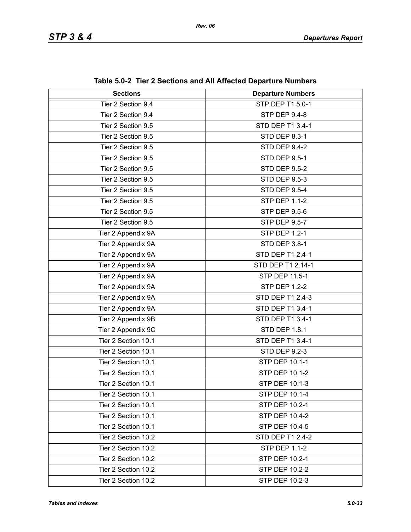| <b>Sections</b>     | <b>Departure Numbers</b> |
|---------------------|--------------------------|
| Tier 2 Section 9.4  | <b>STP DEP T1 5.0-1</b>  |
| Tier 2 Section 9.4  | <b>STP DEP 9.4-8</b>     |
| Tier 2 Section 9.5  | STD DEP T1 3.4-1         |
| Tier 2 Section 9.5  | <b>STD DEP 8.3-1</b>     |
| Tier 2 Section 9.5  | STD DEP 9.4-2            |
| Tier 2 Section 9.5  | <b>STD DEP 9.5-1</b>     |
| Tier 2 Section 9.5  | <b>STD DEP 9.5-2</b>     |
| Tier 2 Section 9.5  | <b>STD DEP 9.5-3</b>     |
| Tier 2 Section 9.5  | <b>STD DEP 9.5-4</b>     |
| Tier 2 Section 9.5  | <b>STP DEP 1.1-2</b>     |
| Tier 2 Section 9.5  | <b>STP DEP 9.5-6</b>     |
| Tier 2 Section 9.5  | <b>STP DEP 9.5-7</b>     |
| Tier 2 Appendix 9A  | <b>STP DEP 1.2-1</b>     |
| Tier 2 Appendix 9A  | STD DEP 3.8-1            |
| Tier 2 Appendix 9A  | STD DEP T1 2.4-1         |
| Tier 2 Appendix 9A  | STD DEP T1 2.14-1        |
| Tier 2 Appendix 9A  | STP DEP 11.5-1           |
| Tier 2 Appendix 9A  | <b>STP DEP 1.2-2</b>     |
| Tier 2 Appendix 9A  | STD DEP T1 2.4-3         |
| Tier 2 Appendix 9A  | STD DEP T1 3.4-1         |
| Tier 2 Appendix 9B  | STD DEP T1 3.4-1         |
| Tier 2 Appendix 9C  | <b>STD DEP 1.8.1</b>     |
| Tier 2 Section 10.1 | STD DEP T1 3.4-1         |
| Tier 2 Section 10.1 | <b>STD DEP 9.2-3</b>     |
| Tier 2 Section 10.1 | <b>STP DEP 10.1-1</b>    |
| Tier 2 Section 10.1 | STP DEP 10.1-2           |
| Tier 2 Section 10.1 | STP DEP 10.1-3           |
| Tier 2 Section 10.1 | STP DEP 10.1-4           |
| Tier 2 Section 10.1 | STP DEP 10.2-1           |
| Tier 2 Section 10.1 | <b>STP DEP 10.4-2</b>    |
| Tier 2 Section 10.1 | STP DEP 10.4-5           |
| Tier 2 Section 10.2 | STD DEP T1 2.4-2         |
| Tier 2 Section 10.2 | <b>STP DEP 1.1-2</b>     |
| Tier 2 Section 10.2 | STP DEP 10.2-1           |
| Tier 2 Section 10.2 | STP DEP 10.2-2           |
| Tier 2 Section 10.2 | STP DEP 10.2-3           |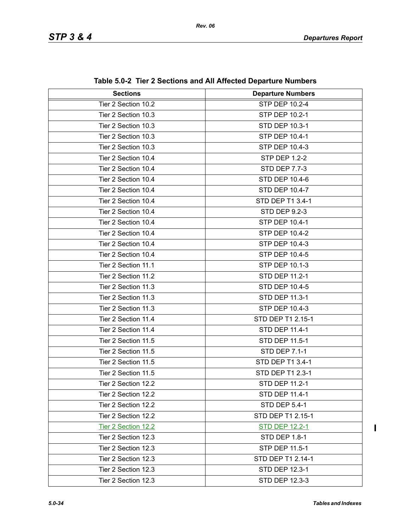| <b>Sections</b>     | . ,  , oo.oo sopar.a.o aor<br><b>Departure Numbers</b> |
|---------------------|--------------------------------------------------------|
| Tier 2 Section 10.2 | <b>STP DEP 10.2-4</b>                                  |
| Tier 2 Section 10.3 | STP DEP 10.2-1                                         |
| Tier 2 Section 10.3 | STD DEP 10.3-1                                         |
| Tier 2 Section 10.3 | <b>STP DEP 10.4-1</b>                                  |
| Tier 2 Section 10.3 | STP DEP 10.4-3                                         |
| Tier 2 Section 10.4 | <b>STP DEP 1.2-2</b>                                   |
| Tier 2 Section 10.4 | <b>STD DEP 7.7-3</b>                                   |
| Tier 2 Section 10.4 | <b>STD DEP 10.4-6</b>                                  |
| Tier 2 Section 10.4 | STD DEP 10.4-7                                         |
| Tier 2 Section 10.4 | STD DEP T1 3.4-1                                       |
| Tier 2 Section 10.4 | <b>STD DEP 9.2-3</b>                                   |
| Tier 2 Section 10.4 | <b>STP DEP 10.4-1</b>                                  |
| Tier 2 Section 10.4 | <b>STP DEP 10.4-2</b>                                  |
| Tier 2 Section 10.4 | STP DEP 10.4-3                                         |
| Tier 2 Section 10.4 | <b>STP DEP 10.4-5</b>                                  |
| Tier 2 Section 11.1 | STP DEP 10.1-3                                         |
| Tier 2 Section 11.2 | STD DEP 11.2-1                                         |
| Tier 2 Section 11.3 | <b>STD DEP 10.4-5</b>                                  |
| Tier 2 Section 11.3 | STD DEP 11.3-1                                         |
| Tier 2 Section 11.3 | STP DEP 10.4-3                                         |
| Tier 2 Section 11.4 | STD DEP T1 2.15-1                                      |
| Tier 2 Section 11.4 | STD DEP 11.4-1                                         |
| Tier 2 Section 11.5 | STD DEP 11.5-1                                         |
| Tier 2 Section 11.5 | <b>STD DEP 7.1-1</b>                                   |
| Tier 2 Section 11.5 | STD DEP T1 3.4-1                                       |
| Tier 2 Section 11.5 | STD DEP T1 2.3-1                                       |
| Tier 2 Section 12.2 | STD DEP 11.2-1                                         |
| Tier 2 Section 12.2 | STD DEP 11.4-1                                         |
| Tier 2 Section 12.2 | <b>STD DEP 5.4-1</b>                                   |
| Tier 2 Section 12.2 | STD DEP T1 2.15-1                                      |
| Tier 2 Section 12.2 | <b>STD DEP 12.2-1</b>                                  |
| Tier 2 Section 12.3 | <b>STD DEP 1.8-1</b>                                   |
| Tier 2 Section 12.3 | STP DEP 11.5-1                                         |
| Tier 2 Section 12.3 | STD DEP T1 2.14-1                                      |
| Tier 2 Section 12.3 | STD DEP 12.3-1                                         |
| Tier 2 Section 12.3 | STD DEP 12.3-3                                         |

**Table 5.0-2 Tier 2 Sections and All Affected Departure Numbers**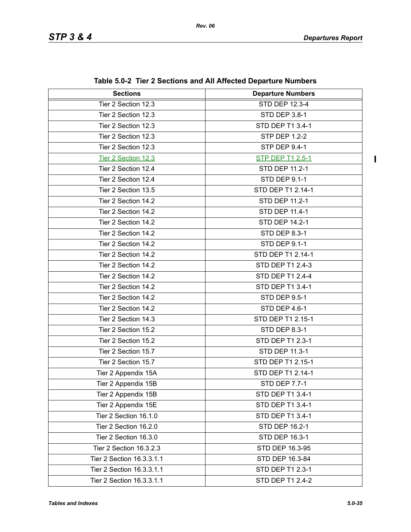$\mathbf I$ 

| <b>Sections</b>           | <b>Departure Numbers</b> |
|---------------------------|--------------------------|
| Tier 2 Section 12.3       | STD DEP 12.3-4           |
| Tier 2 Section 12.3       | STD DEP 3.8-1            |
| Tier 2 Section 12.3       | STD DEP T1 3.4-1         |
| Tier 2 Section 12.3       | <b>STP DEP 1.2-2</b>     |
| Tier 2 Section 12.3       | STP DEP 9.4-1            |
| Tier 2 Section 12.3       | <b>STP DEP T1 2.5-1</b>  |
| Tier 2 Section 12.4       | STD DEP 11.2-1           |
| Tier 2 Section 12.4       | <b>STD DEP 9.1-1</b>     |
| Tier 2 Section 13.5       | STD DEP T1 2.14-1        |
| Tier 2 Section 14.2       | STD DEP 11.2-1           |
| Tier 2 Section 14.2       | STD DEP 11.4-1           |
| Tier 2 Section 14.2       | <b>STD DEP 14.2-1</b>    |
| Tier 2 Section 14.2       | <b>STD DEP 8.3-1</b>     |
| Tier 2 Section 14.2       | <b>STD DEP 9.1-1</b>     |
| Tier 2 Section 14.2       | STD DEP T1 2.14-1        |
| Tier 2 Section 14.2       | <b>STD DEP T1 2.4-3</b>  |
| Tier 2 Section 14.2       | STD DEP T1 2.4-4         |
| Tier 2 Section 14.2       | STD DEP T1 3.4-1         |
| Tier 2 Section 14.2       | <b>STD DEP 9.5-1</b>     |
| Tier 2 Section 14.2       | STD DEP 4.6-1            |
| Tier 2 Section 14.3       | STD DEP T1 2.15-1        |
| Tier 2 Section 15.2       | STD DEP 8.3-1            |
| Tier 2 Section 15.2       | STD DEP T1 2.3-1         |
| Tier 2 Section 15.7       | STD DEP 11.3-1           |
| Tier 2 Section 15.7       | STD DEP T1 2.15-1        |
| Tier 2 Appendix 15A       | STD DEP T1 2.14-1        |
| Tier 2 Appendix 15B       | STD DEP 7.7-1            |
| Tier 2 Appendix 15B       | STD DEP T1 3.4-1         |
| Tier 2 Appendix 15E       | STD DEP T1 3.4-1         |
| Tier 2 Section 16.1.0     | STD DEP T1 3.4-1         |
| Tier 2 Section 16.2.0     | STD DEP 16.2-1           |
| Tier 2 Section 16.3.0     | STD DEP 16.3-1           |
| Tier 2 Section 16.3.2.3   | STD DEP 16.3-95          |
| Tier 2 Section 16.3.3.1.1 | STD DEP 16.3-84          |
| Tier 2 Section 16.3.3.1.1 | STD DEP T1 2.3-1         |
| Tier 2 Section 16.3.3.1.1 | STD DEP T1 2.4-2         |

**Table 5.0-2 Tier 2 Sections and All Affected Departure Numbers**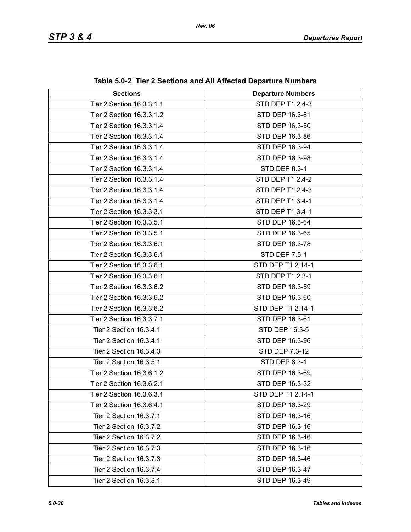| <b>Sections</b>           | <b>Departure Numbers</b> |
|---------------------------|--------------------------|
| Tier 2 Section 16.3.3.1.1 | STD DEP T1 2.4-3         |
| Tier 2 Section 16.3.3.1.2 | STD DEP 16.3-81          |
| Tier 2 Section 16.3.3.1.4 | STD DEP 16.3-50          |
| Tier 2 Section 16.3.3.1.4 | STD DEP 16.3-86          |
| Tier 2 Section 16.3.3.1.4 | STD DEP 16.3-94          |
| Tier 2 Section 16.3.3.1.4 | STD DEP 16.3-98          |
| Tier 2 Section 16.3.3.1.4 | <b>STD DEP 8.3-1</b>     |
| Tier 2 Section 16.3.3.1.4 | STD DEP T1 2.4-2         |
| Tier 2 Section 16.3.3.1.4 | STD DEP T1 2.4-3         |
| Tier 2 Section 16.3.3.1.4 | STD DEP T1 3.4-1         |
| Tier 2 Section 16.3.3.3.1 | STD DEP T1 3.4-1         |
| Tier 2 Section 16.3.3.5.1 | STD DEP 16.3-64          |
| Tier 2 Section 16.3.3.5.1 | STD DEP 16.3-65          |
| Tier 2 Section 16.3.3.6.1 | STD DEP 16.3-78          |
| Tier 2 Section 16.3.3.6.1 | <b>STD DEP 7.5-1</b>     |
| Tier 2 Section 16.3.3.6.1 | STD DEP T1 2.14-1        |
| Tier 2 Section 16.3.3.6.1 | STD DEP T1 2.3-1         |
| Tier 2 Section 16.3.3.6.2 | STD DEP 16.3-59          |
| Tier 2 Section 16.3.3.6.2 | STD DEP 16.3-60          |
| Tier 2 Section 16.3.3.6.2 | STD DEP T1 2.14-1        |
| Tier 2 Section 16.3.3.7.1 | STD DEP 16.3-61          |
| Tier 2 Section 16.3.4.1   | STD DEP 16.3-5           |
| Tier 2 Section 16.3.4.1   | STD DEP 16.3-96          |
| Tier 2 Section 16.3.4.3   | STD DEP 7.3-12           |
| Tier 2 Section 16.3.5.1   | <b>STD DEP 8.3-1</b>     |
| Tier 2 Section 16.3.6.1.2 | STD DEP 16.3-69          |
| Tier 2 Section 16.3.6.2.1 | STD DEP 16.3-32          |
| Tier 2 Section 16.3.6.3.1 | STD DEP T1 2.14-1        |
| Tier 2 Section 16.3.6.4.1 | STD DEP 16.3-29          |
| Tier 2 Section 16.3.7.1   | STD DEP 16.3-16          |
| Tier 2 Section 16.3.7.2   | STD DEP 16.3-16          |
| Tier 2 Section 16.3.7.2   | STD DEP 16.3-46          |
| Tier 2 Section 16.3.7.3   | STD DEP 16.3-16          |
| Tier 2 Section 16.3.7.3   | STD DEP 16.3-46          |
| Tier 2 Section 16.3.7.4   | STD DEP 16.3-47          |
| Tier 2 Section 16.3.8.1   | STD DEP 16.3-49          |

**Table 5.0-2 Tier 2 Sections and All Affected Departure Numbers**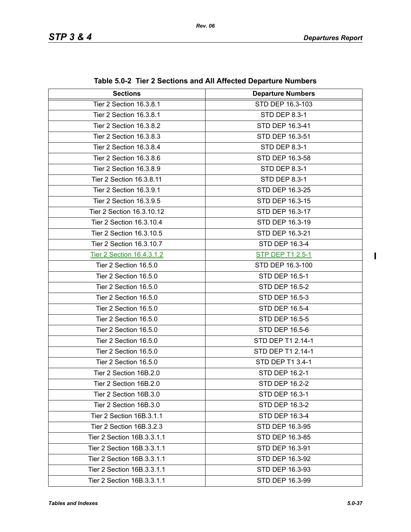| <b>Sections</b>            | adio 0.0 $\sim$ 1101 $\epsilon$ 0.000010113 and An Anobiota Dopartare Nambors<br><b>Departure Numbers</b> |
|----------------------------|-----------------------------------------------------------------------------------------------------------|
| Tier 2 Section 16.3.8.1    | STD DEP 16.3-103                                                                                          |
| Tier 2 Section 16.3.8.1    | STD DEP 8.3-1                                                                                             |
| Tier 2 Section 16.3.8.2    | STD DEP 16.3-41                                                                                           |
| Tier 2 Section 16.3.8.3    | STD DEP 16.3-51                                                                                           |
| Tier 2 Section 16.3.8.4    | STD DEP 8.3-1                                                                                             |
| Tier 2 Section 16.3.8.6    | STD DEP 16.3-58                                                                                           |
| Tier 2 Section 16.3.8.9    | STD DEP 8.3-1                                                                                             |
| Tier 2 Section 16.3.8.11   | STD DEP 8.3-1                                                                                             |
| Tier 2 Section 16.3.9.1    | STD DEP 16.3-25                                                                                           |
| Tier 2 Section 16.3.9.5    | STD DEP 16.3-15                                                                                           |
| Tier 2 Section 16.3.10.12  | STD DEP 16.3-17                                                                                           |
| Tier 2 Section 16.3.10.4   | STD DEP 16.3-19                                                                                           |
| Tier 2 Section 16.3.10.5   | STD DEP 16.3-21                                                                                           |
| Tier 2 Section 16.3.10.7   | STD DEP 16.3-4                                                                                            |
| Tier 2 Section 16.4.3.1.2  | <b>STP DEP T1 2.5-1</b>                                                                                   |
| Tier 2 Section 16.5.0      | STD DEP 16.3-100                                                                                          |
| Tier 2 Section 16.5.0      | STD DEP 16.5-1                                                                                            |
| Tier 2 Section 16.5.0      | STD DEP 16.5-2                                                                                            |
| Tier 2 Section 16.5.0      | STD DEP 16.5-3                                                                                            |
| Tier 2 Section 16.5.0      | STD DEP 16.5-4                                                                                            |
| Tier 2 Section 16.5.0      | STD DEP 16.5-5                                                                                            |
| Tier 2 Section 16.5.0      | STD DEP 16.5-6                                                                                            |
| Tier 2 Section 16.5.0      | STD DEP T1 2.14-1                                                                                         |
| Tier 2 Section 16.5.0      | STD DEP T1 2.14-1                                                                                         |
| Tier 2 Section 16.5.0      | STD DEP T1 3.4-1                                                                                          |
| Tier 2 Section 16B.2.0     | STD DEP 16.2-1                                                                                            |
| Tier 2 Section 16B.2.0     | STD DEP 16.2-2                                                                                            |
| Tier 2 Section 16B.3.0     | <b>STD DEP 16.3-1</b>                                                                                     |
| Tier 2 Section 16B.3.0     | STD DEP 16.3-2                                                                                            |
| Tier 2 Section 16B.3.1.1   | STD DEP 16.3-4                                                                                            |
| Tier 2 Section 16B.3.2.3   | STD DEP 16.3-95                                                                                           |
| Tier 2 Section 16B.3.3.1.1 | STD DEP 16.3-85                                                                                           |
| Tier 2 Section 16B.3.3.1.1 | STD DEP 16.3-91                                                                                           |
| Tier 2 Section 16B.3.3.1.1 | STD DEP 16.3-92                                                                                           |
| Tier 2 Section 16B.3.3.1.1 | STD DEP 16.3-93                                                                                           |
| Tier 2 Section 16B.3.3.1.1 | STD DEP 16.3-99                                                                                           |

**Table 5.0-2 Tier 2 Sections and All Affected Departure Numbers**

 $\blacksquare$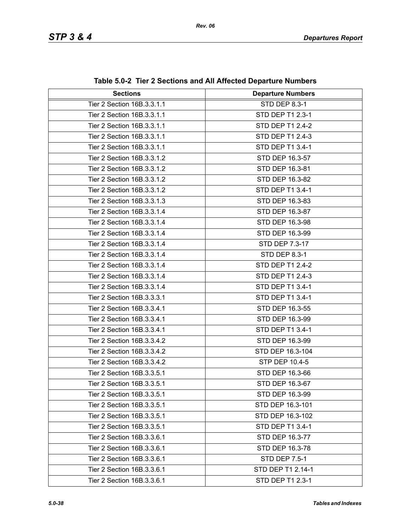| <b>Sections</b>            | <b>Departure Numbers</b> |
|----------------------------|--------------------------|
| Tier 2 Section 16B.3.3.1.1 | <b>STD DEP 8.3-1</b>     |
| Tier 2 Section 16B.3.3.1.1 | STD DEP T1 2.3-1         |
| Tier 2 Section 16B.3.3.1.1 | STD DEP T1 2.4-2         |
| Tier 2 Section 16B.3.3.1.1 | STD DEP T1 2.4-3         |
| Tier 2 Section 16B.3.3.1.1 | STD DEP T1 3.4-1         |
| Tier 2 Section 16B.3.3.1.2 | STD DEP 16.3-57          |
| Tier 2 Section 16B.3.3.1.2 | STD DEP 16.3-81          |
| Tier 2 Section 16B.3.3.1.2 | STD DEP 16.3-82          |
| Tier 2 Section 16B.3.3.1.2 | STD DEP T1 3.4-1         |
| Tier 2 Section 16B.3.3.1.3 | STD DEP 16.3-83          |
| Tier 2 Section 16B.3.3.1.4 | STD DEP 16.3-87          |
| Tier 2 Section 16B.3.3.1.4 | STD DEP 16.3-98          |
| Tier 2 Section 16B.3.3.1.4 | STD DEP 16.3-99          |
| Tier 2 Section 16B.3.3.1.4 | STD DEP 7.3-17           |
| Tier 2 Section 16B.3.3.1.4 | STD DEP 8.3-1            |
| Tier 2 Section 16B.3.3.1.4 | STD DEP T1 2.4-2         |
| Tier 2 Section 16B.3.3.1.4 | STD DEP T1 2.4-3         |
| Tier 2 Section 16B.3.3.1.4 | STD DEP T1 3.4-1         |
| Tier 2 Section 16B.3.3.3.1 | STD DEP T1 3.4-1         |
| Tier 2 Section 16B.3.3.4.1 | STD DEP 16.3-55          |
| Tier 2 Section 16B.3.3.4.1 | STD DEP 16.3-99          |
| Tier 2 Section 16B.3.3.4.1 | STD DEP T1 3.4-1         |
| Tier 2 Section 16B.3.3.4.2 | STD DEP 16.3-99          |
| Tier 2 Section 16B.3.3.4.2 | STD DEP 16.3-104         |
| Tier 2 Section 16B.3.3.4.2 | STP DEP 10.4-5           |
| Tier 2 Section 16B.3.3.5.1 | STD DEP 16.3-66          |
| Tier 2 Section 16B.3.3.5.1 | STD DEP 16.3-67          |
| Tier 2 Section 16B.3.3.5.1 | STD DEP 16.3-99          |
| Tier 2 Section 16B.3.3.5.1 | STD DEP 16.3-101         |
| Tier 2 Section 16B.3.3.5.1 | STD DEP 16.3-102         |
| Tier 2 Section 16B.3.3.5.1 | STD DEP T1 3.4-1         |
| Tier 2 Section 16B.3.3.6.1 | STD DEP 16.3-77          |
| Tier 2 Section 16B.3.3.6.1 | STD DEP 16.3-78          |
| Tier 2 Section 16B.3.3.6.1 | <b>STD DEP 7.5-1</b>     |
| Tier 2 Section 16B.3.3.6.1 | STD DEP T1 2.14-1        |
| Tier 2 Section 16B.3.3.6.1 | STD DEP T1 2.3-1         |

**Table 5.0-2 Tier 2 Sections and All Affected Departure Numbers**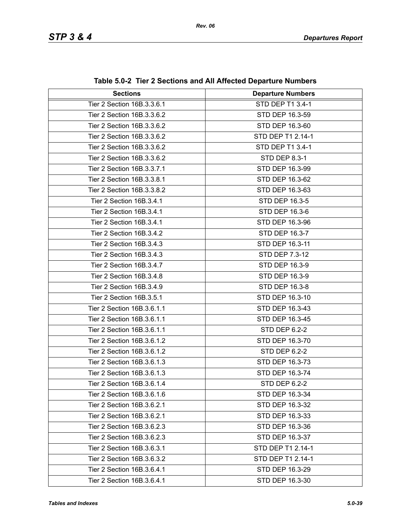| <b>Sections</b>            | <b>Departure Numbers</b> |
|----------------------------|--------------------------|
| Tier 2 Section 16B.3.3.6.1 | STD DEP T1 3.4-1         |
| Tier 2 Section 16B.3.3.6.2 | STD DEP 16.3-59          |
| Tier 2 Section 16B.3.3.6.2 | STD DEP 16.3-60          |
| Tier 2 Section 16B.3.3.6.2 | STD DEP T1 2.14-1        |
| Tier 2 Section 16B.3.3.6.2 | STD DEP T1 3.4-1         |
| Tier 2 Section 16B.3.3.6.2 | STD DEP 8.3-1            |
| Tier 2 Section 16B.3.3.7.1 | STD DEP 16.3-99          |
| Tier 2 Section 16B.3.3.8.1 | STD DEP 16.3-62          |
| Tier 2 Section 16B.3.3.8.2 | STD DEP 16.3-63          |
| Tier 2 Section 16B.3.4.1   | STD DEP 16.3-5           |
| Tier 2 Section 16B.3.4.1   | STD DEP 16.3-6           |
| Tier 2 Section 16B.3.4.1   | STD DEP 16.3-96          |
| Tier 2 Section 16B.3.4.2   | STD DEP 16.3-7           |
| Tier 2 Section 16B.3.4.3   | STD DEP 16.3-11          |
| Tier 2 Section 16B.3.4.3   | STD DEP 7.3-12           |
| Tier 2 Section 16B.3.4.7   | STD DEP 16.3-9           |
| Tier 2 Section 16B.3.4.8   | STD DEP 16.3-9           |
| Tier 2 Section 16B.3.4.9   | STD DEP 16.3-8           |
| Tier 2 Section 16B.3.5.1   | STD DEP 16.3-10          |
| Tier 2 Section 16B.3.6.1.1 | STD DEP 16.3-43          |
| Tier 2 Section 16B.3.6.1.1 | STD DEP 16.3-45          |
| Tier 2 Section 16B.3.6.1.1 | STD DEP 6.2-2            |
| Tier 2 Section 16B.3.6.1.2 | STD DEP 16.3-70          |
| Tier 2 Section 16B.3.6.1.2 | <b>STD DEP 6.2-2</b>     |
| Tier 2 Section 16B.3.6.1.3 | STD DEP 16.3-73          |
| Tier 2 Section 16B.3.6.1.3 | STD DEP 16.3-74          |
| Tier 2 Section 16B.3.6.1.4 | STD DEP 6.2-2            |
| Tier 2 Section 16B.3.6.1.6 | STD DEP 16.3-34          |
| Tier 2 Section 16B.3.6.2.1 | STD DEP 16.3-32          |
| Tier 2 Section 16B.3.6.2.1 | STD DEP 16.3-33          |
| Tier 2 Section 16B.3.6.2.3 | STD DEP 16.3-36          |
| Tier 2 Section 16B.3.6.2.3 | STD DEP 16.3-37          |
| Tier 2 Section 16B.3.6.3.1 | STD DEP T1 2.14-1        |
| Tier 2 Section 16B.3.6.3.2 | STD DEP T1 2.14-1        |
| Tier 2 Section 16B.3.6.4.1 | STD DEP 16.3-29          |
| Tier 2 Section 16B.3.6.4.1 | STD DEP 16.3-30          |

**Table 5.0-2 Tier 2 Sections and All Affected Departure Numbers**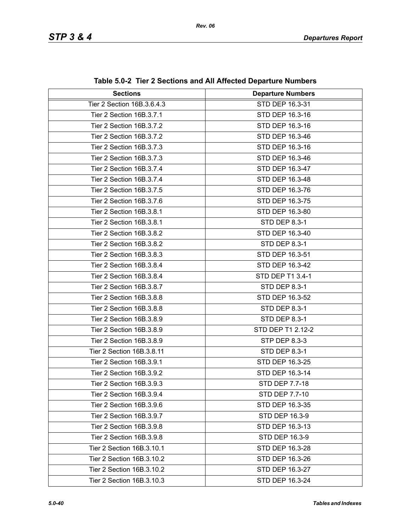| <b>Sections</b>            | <b>Departure Numbers</b> |
|----------------------------|--------------------------|
| Tier 2 Section 16B.3.6.4.3 | STD DEP 16.3-31          |
| Tier 2 Section 16B.3.7.1   | STD DEP 16.3-16          |
| Tier 2 Section 16B.3.7.2   | STD DEP 16.3-16          |
| Tier 2 Section 16B.3.7.2   | STD DEP 16.3-46          |
| Tier 2 Section 16B.3.7.3   | STD DEP 16.3-16          |
| Tier 2 Section 16B.3.7.3   | STD DEP 16.3-46          |
| Tier 2 Section 16B.3.7.4   | STD DEP 16.3-47          |
| Tier 2 Section 16B.3.7.4   | STD DEP 16.3-48          |
| Tier 2 Section 16B.3.7.5   | STD DEP 16.3-76          |
| Tier 2 Section 16B.3.7.6   | STD DEP 16.3-75          |
| Tier 2 Section 16B.3.8.1   | STD DEP 16.3-80          |
| Tier 2 Section 16B.3.8.1   | STD DEP 8.3-1            |
| Tier 2 Section 16B.3.8.2   | STD DEP 16.3-40          |
| Tier 2 Section 16B.3.8.2   | STD DEP 8.3-1            |
| Tier 2 Section 16B.3.8.3   | STD DEP 16.3-51          |
| Tier 2 Section 16B.3.8.4   | STD DEP 16.3-42          |
| Tier 2 Section 16B.3.8.4   | STD DEP T1 3.4-1         |
| Tier 2 Section 16B.3.8.7   | STD DEP 8.3-1            |
| Tier 2 Section 16B.3.8.8   | STD DEP 16.3-52          |
| Tier 2 Section 16B.3.8.8   | STD DEP 8.3-1            |
| Tier 2 Section 16B.3.8.9   | STD DEP 8.3-1            |
| Tier 2 Section 16B.3.8.9   | STD DEP T1 2.12-2        |
| Tier 2 Section 16B.3.8.9   | STP DEP 8.3-3            |
| Tier 2 Section 16B.3.8.11  | STD DEP 8.3-1            |
| Tier 2 Section 16B.3.9.1   | STD DEP 16.3-25          |
| Tier 2 Section 16B.3.9.2   | STD DEP 16.3-14          |
| Tier 2 Section 16B.3.9.3   | STD DEP 7.7-18           |
| Tier 2 Section 16B.3.9.4   | STD DEP 7.7-10           |
| Tier 2 Section 16B.3.9.6   | STD DEP 16.3-35          |
| Tier 2 Section 16B.3.9.7   | STD DEP 16.3-9           |
| Tier 2 Section 16B.3.9.8   | STD DEP 16.3-13          |
| Tier 2 Section 16B.3.9.8   | STD DEP 16.3-9           |
| Tier 2 Section 16B.3.10.1  | STD DEP 16.3-28          |
| Tier 2 Section 16B.3.10.2  | STD DEP 16.3-26          |
| Tier 2 Section 16B.3.10.2  | STD DEP 16.3-27          |
| Tier 2 Section 16B.3.10.3  | STD DEP 16.3-24          |

**Table 5.0-2 Tier 2 Sections and All Affected Departure Numbers**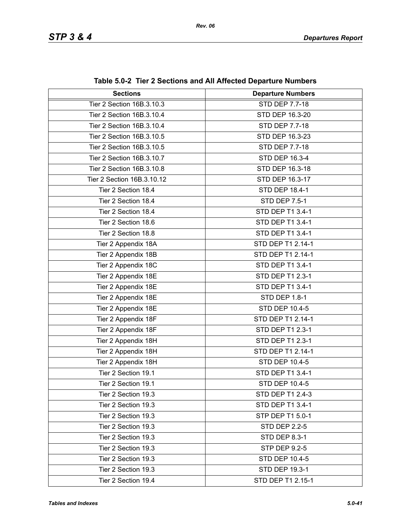| <b>Sections</b>            | <b>Departure Numbers</b> |
|----------------------------|--------------------------|
| Tier 2 Section 16B.3.10.3  | <b>STD DEP 7.7-18</b>    |
| Tier 2 Section 16B.3.10.4  | STD DEP 16.3-20          |
| Tier 2 Section 16B.3.10.4  | <b>STD DEP 7.7-18</b>    |
| Tier 2 Section 16B.3.10.5  | STD DEP 16.3-23          |
| Tier 2 Section 16B.3.10.5  | STD DEP 7.7-18           |
| Tier 2 Section 16B.3.10.7  | STD DEP 16.3-4           |
| Tier 2 Section 16B.3.10.8  | STD DEP 16.3-18          |
| Tier 2 Section 16B.3.10.12 | STD DEP 16.3-17          |
| Tier 2 Section 18.4        | STD DEP 18.4-1           |
| Tier 2 Section 18.4        | <b>STD DEP 7.5-1</b>     |
| Tier 2 Section 18.4        | STD DEP T1 3.4-1         |
| Tier 2 Section 18.6        | STD DEP T1 3.4-1         |
| Tier 2 Section 18.8        | STD DEP T1 3.4-1         |
| Tier 2 Appendix 18A        | STD DEP T1 2.14-1        |
| Tier 2 Appendix 18B        | STD DEP T1 2.14-1        |
| Tier 2 Appendix 18C        | STD DEP T1 3.4-1         |
| Tier 2 Appendix 18E        | STD DEP T1 2.3-1         |
| Tier 2 Appendix 18E        | STD DEP T1 3.4-1         |
| Tier 2 Appendix 18E        | <b>STD DEP 1.8-1</b>     |
| Tier 2 Appendix 18E        | STD DEP 10.4-5           |
| Tier 2 Appendix 18F        | STD DEP T1 2.14-1        |
| Tier 2 Appendix 18F        | STD DEP T1 2.3-1         |
| Tier 2 Appendix 18H        | STD DEP T1 2.3-1         |
| Tier 2 Appendix 18H        | STD DEP T1 2.14-1        |
| Tier 2 Appendix 18H        | STD DEP 10.4-5           |
| Tier 2 Section 19.1        | STD DEP T1 3.4-1         |
| Tier 2 Section 19.1        | STD DEP 10.4-5           |
| Tier 2 Section 19.3        | STD DEP T1 2.4-3         |
| Tier 2 Section 19.3        | STD DEP T1 3.4-1         |
| Tier 2 Section 19.3        | STP DEP T1 5.0-1         |
| Tier 2 Section 19.3        | <b>STD DEP 2.2-5</b>     |
| Tier 2 Section 19.3        | <b>STD DEP 8.3-1</b>     |
| Tier 2 Section 19.3        | STP DEP 9.2-5            |
| Tier 2 Section 19.3        | <b>STD DEP 10.4-5</b>    |
| Tier 2 Section 19.3        | <b>STD DEP 19.3-1</b>    |
| Tier 2 Section 19.4        | STD DEP T1 2.15-1        |

**Table 5.0-2 Tier 2 Sections and All Affected Departure Numbers**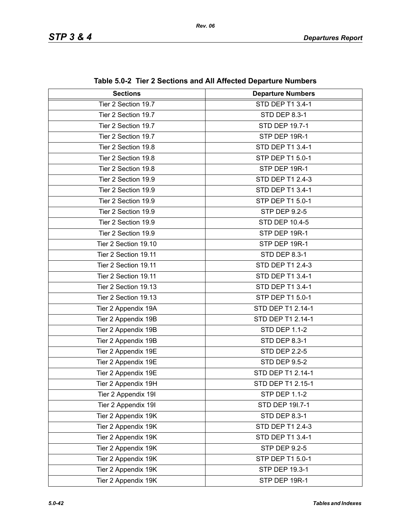| <b>Sections</b>      | <b>Departure Numbers</b> |
|----------------------|--------------------------|
| Tier 2 Section 19.7  | STD DEP T1 3.4-1         |
| Tier 2 Section 19.7  | STD DEP 8.3-1            |
| Tier 2 Section 19.7  | STD DEP 19.7-1           |
| Tier 2 Section 19.7  | STP DEP 19R-1            |
| Tier 2 Section 19.8  | STD DEP T1 3.4-1         |
| Tier 2 Section 19.8  | STP DEP T1 5.0-1         |
| Tier 2 Section 19.8  | STP DEP 19R-1            |
| Tier 2 Section 19.9  | STD DEP T1 2.4-3         |
| Tier 2 Section 19.9  | STD DEP T1 3.4-1         |
| Tier 2 Section 19.9  | STP DEP T1 5.0-1         |
| Tier 2 Section 19.9  | <b>STP DEP 9.2-5</b>     |
| Tier 2 Section 19.9  | <b>STD DEP 10.4-5</b>    |
| Tier 2 Section 19.9  | STP DEP 19R-1            |
| Tier 2 Section 19.10 | STP DEP 19R-1            |
| Tier 2 Section 19.11 | STD DEP 8.3-1            |
| Tier 2 Section 19.11 | STD DEP T1 2.4-3         |
| Tier 2 Section 19.11 | STD DEP T1 3.4-1         |
| Tier 2 Section 19.13 | STD DEP T1 3.4-1         |
| Tier 2 Section 19.13 | STP DEP T1 5.0-1         |
| Tier 2 Appendix 19A  | STD DEP T1 2.14-1        |
| Tier 2 Appendix 19B  | STD DEP T1 2.14-1        |
| Tier 2 Appendix 19B  | <b>STD DEP 1.1-2</b>     |
| Tier 2 Appendix 19B  | STD DEP 8.3-1            |
| Tier 2 Appendix 19E  | <b>STD DEP 2.2-5</b>     |
| Tier 2 Appendix 19E  | <b>STD DEP 9.5-2</b>     |
| Tier 2 Appendix 19E  | STD DEP T1 2.14-1        |
| Tier 2 Appendix 19H  | STD DEP T1 2.15-1        |
| Tier 2 Appendix 19I  | <b>STP DEP 1.1-2</b>     |
| Tier 2 Appendix 19I  | STD DEP 191.7-1          |
| Tier 2 Appendix 19K  | <b>STD DEP 8.3-1</b>     |
| Tier 2 Appendix 19K  | STD DEP T1 2.4-3         |
| Tier 2 Appendix 19K  | STD DEP T1 3.4-1         |
| Tier 2 Appendix 19K  | STP DEP 9.2-5            |
| Tier 2 Appendix 19K  | STP DEP T1 5.0-1         |
| Tier 2 Appendix 19K  | STP DEP 19.3-1           |
| Tier 2 Appendix 19K  | STP DEP 19R-1            |

**Table 5.0-2 Tier 2 Sections and All Affected Departure Numbers**